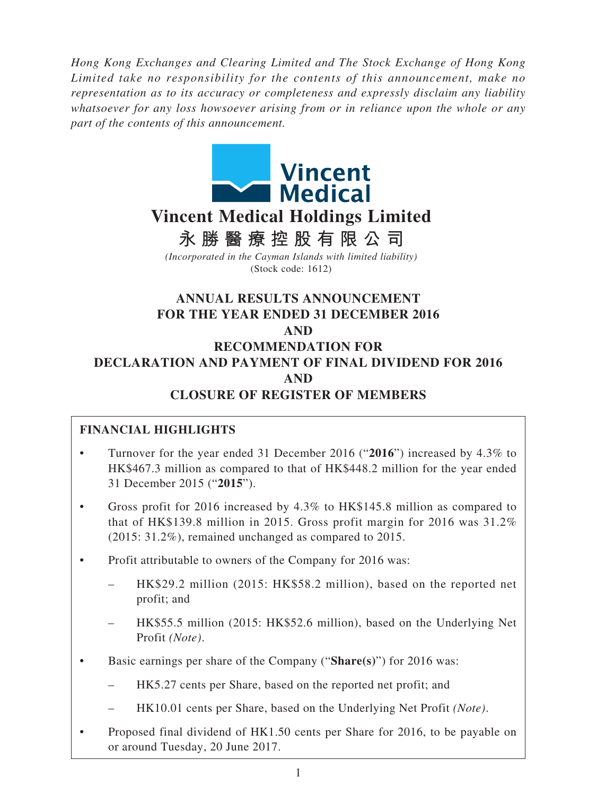*Hong Kong Exchanges and Clearing Limited and The Stock Exchange of Hong Kong Limited take no responsibility for the contents of this announcement, make no representation as to its accuracy or completeness and expressly disclaim any liability whatsoever for any loss howsoever arising from or in reliance upon the whole or any part of the contents of this announcement.*



# **Vincent Medical Holdings Limited**

**永勝醫療控股有限公司**

*(Incorporated in the Cayman Islands with limited liability)* (Stock code: 1612)

# **ANNUAL RESULTS ANNOUNCEMENT FOR THE YEAR ENDED 31 DECEMBER 2016 AND RECOMMENDATION FOR DECLARATION AND PAYMENT OF FINAL DIVIDEND FOR 2016 AND CLOSURE OF REGISTER OF MEMBERS**

# **FINANCIAL HIGHLIGHTS**

- • Turnover for the year ended 31 December 2016 ("**2016**") increased by 4.3% to HK\$467.3 million as compared to that of HK\$448.2 million for the year ended 31 December 2015 ("**2015**").
- Gross profit for 2016 increased by  $4.3\%$  to HK\$145.8 million as compared to that of HK\$139.8 million in 2015. Gross profit margin for 2016 was 31.2% (2015: 31.2%), remained unchanged as compared to 2015.
- Profit attributable to owners of the Company for 2016 was:
	- HK\$29.2 million (2015: HK\$58.2 million), based on the reported net profit; and
	- HK\$55.5 million (2015: HK\$52.6 million), based on the Underlying Net Profit *(Note)*.
- • Basic earnings per share of the Company ("**Share(s)**") for 2016 was:
	- – HK5.27 cents per Share, based on the reported net profit; and
	- HK10.01 cents per Share, based on the Underlying Net Profit *(Note)*.
- Proposed final dividend of HK1.50 cents per Share for 2016, to be payable on or around Tuesday, 20 June 2017.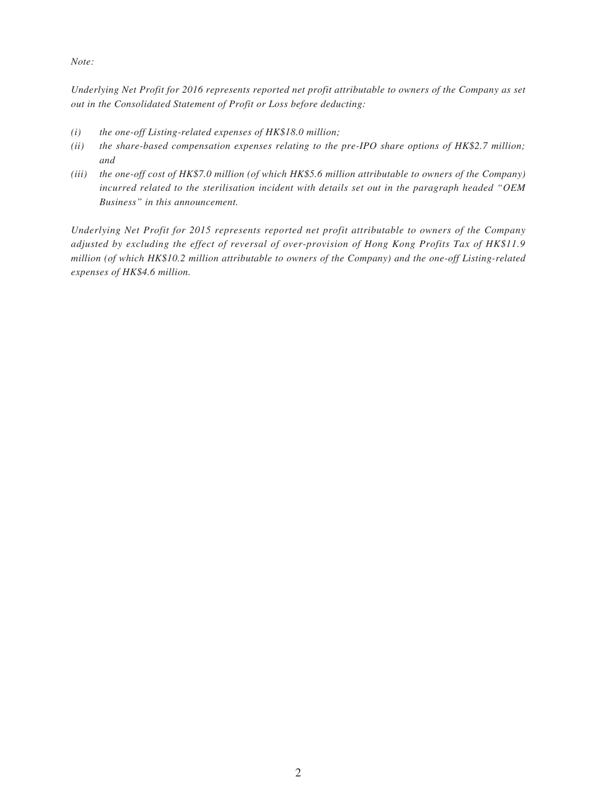*Note:*

*Underlying Net Profit for 2016 represents reported net profit attributable to owners of the Company as set out in the Consolidated Statement of Profit or Loss before deducting:*

- *(i) the one-off Listing-related expenses of HK\$18.0 million;*
- *(ii) the share-based compensation expenses relating to the pre-IPO share options of HK\$2.7 million; and*
- *(iii) the one-off cost of HK\$7.0 million (of which HK\$5.6 million attributable to owners of the Company) incurred related to the sterilisation incident with details set out in the paragraph headed "OEM Business" in this announcement.*

*Underlying Net Profit for 2015 represents reported net profit attributable to owners of the Company adjusted by excluding the effect of reversal of over-provision of Hong Kong Profits Tax of HK\$11.9 million (of which HK\$10.2 million attributable to owners of the Company) and the one-off Listing-related expenses of HK\$4.6 million.*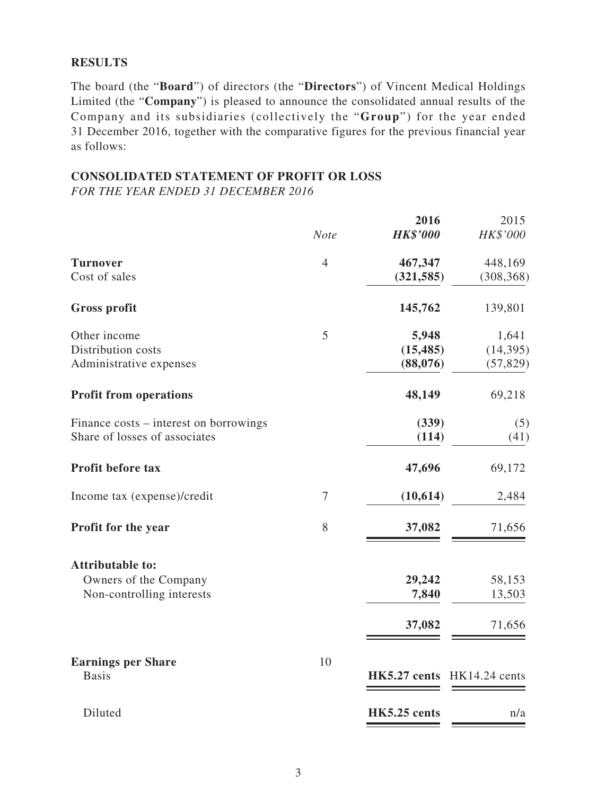#### **RESULTS**

The board (the "**Board**") of directors (the "**Directors**") of Vincent Medical Holdings Limited (the "**Company**") is pleased to announce the consolidated annual results of the Company and its subsidiaries (collectively the "**Group**") for the year ended 31 December 2016, together with the comparative figures for the previous financial year as follows:

#### **CONSOLIDATED STATEMENT OF PROFIT OR LOSS**

*FOR THE YEAR ENDED 31 DECEMBER 2016*

|                                                                               | <b>Note</b>    | 2016<br><b>HK\$'000</b>        | 2015<br>HK\$'000                |
|-------------------------------------------------------------------------------|----------------|--------------------------------|---------------------------------|
| <b>Turnover</b><br>Cost of sales                                              | $\overline{4}$ | 467,347<br>(321, 585)          | 448,169<br>(308, 368)           |
| <b>Gross profit</b>                                                           |                | 145,762                        | 139,801                         |
| Other income<br>Distribution costs<br>Administrative expenses                 | 5              | 5,948<br>(15, 485)<br>(88,076) | 1,641<br>(14, 395)<br>(57, 829) |
| <b>Profit from operations</b>                                                 |                | 48,149                         | 69,218                          |
| Finance costs – interest on borrowings<br>Share of losses of associates       |                | (339)<br>(114)                 | (5)<br>(41)                     |
| Profit before tax                                                             |                | 47,696                         | 69,172                          |
| Income tax (expense)/credit                                                   | $\tau$         | (10,614)                       | 2,484                           |
| Profit for the year                                                           | 8              | 37,082                         | 71,656                          |
| <b>Attributable to:</b><br>Owners of the Company<br>Non-controlling interests |                | 29,242<br>7,840                | 58,153<br>13,503                |
|                                                                               |                | 37,082                         | 71,656                          |
| <b>Earnings per Share</b><br><b>Basis</b>                                     | 10             |                                | HK5.27 cents HK14.24 cents      |
| Diluted                                                                       |                | HK5.25 cents                   | n/a                             |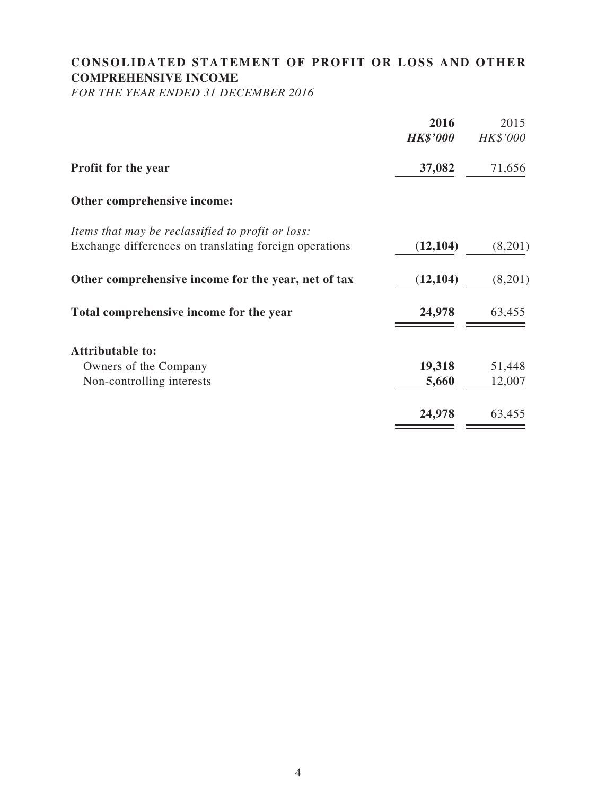# **CONSOLIDATED STATEMENT OF PROFIT OR LOSS AND OTHER COMPREHENSIVE INCOME**

*FOR THE YEAR ENDED 31 DECEMBER 2016*

|                                                        | 2016            | 2015     |
|--------------------------------------------------------|-----------------|----------|
|                                                        | <b>HK\$'000</b> | HK\$'000 |
| <b>Profit for the year</b>                             | 37,082          | 71,656   |
| Other comprehensive income:                            |                 |          |
| Items that may be reclassified to profit or loss:      |                 |          |
| Exchange differences on translating foreign operations | (12, 104)       | (8,201)  |
| Other comprehensive income for the year, net of tax    | (12, 104)       | (8,201)  |
| Total comprehensive income for the year                | 24,978          | 63,455   |
| <b>Attributable to:</b>                                |                 |          |
| Owners of the Company                                  | 19,318          | 51,448   |
| Non-controlling interests                              | 5,660           | 12,007   |
|                                                        | 24,978          | 63,455   |
|                                                        |                 |          |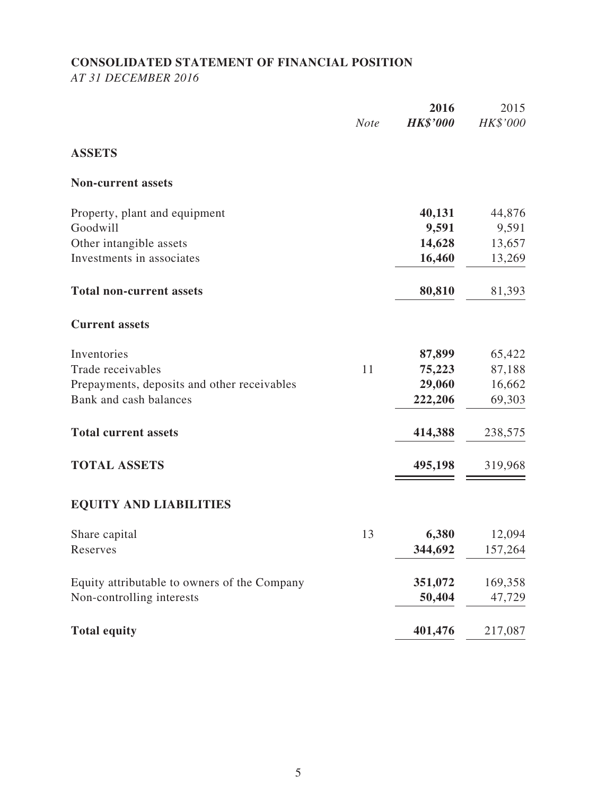# **CONSOLIDATED STATEMENT OF FINANCIAL POSITION**

*AT 31 DECEMBER 2016*

|                                              | <b>Note</b> | 2016<br><b>HK\$'000</b> | 2015<br>HK\$'000 |
|----------------------------------------------|-------------|-------------------------|------------------|
| <b>ASSETS</b>                                |             |                         |                  |
| <b>Non-current assets</b>                    |             |                         |                  |
| Property, plant and equipment                |             | 40,131                  | 44,876           |
| Goodwill                                     |             | 9,591                   | 9,591            |
| Other intangible assets                      |             | 14,628                  | 13,657           |
| Investments in associates                    |             | 16,460                  | 13,269           |
| <b>Total non-current assets</b>              |             | 80,810                  | 81,393           |
| <b>Current assets</b>                        |             |                         |                  |
| Inventories                                  |             | 87,899                  | 65,422           |
| Trade receivables                            | 11          | 75,223                  | 87,188           |
| Prepayments, deposits and other receivables  |             | 29,060                  | 16,662           |
| Bank and cash balances                       |             | 222,206                 | 69,303           |
| <b>Total current assets</b>                  |             | 414,388                 | 238,575          |
| <b>TOTAL ASSETS</b>                          |             | 495,198                 | 319,968          |
| <b>EQUITY AND LIABILITIES</b>                |             |                         |                  |
| Share capital                                | 13          | 6,380                   | 12,094           |
| Reserves                                     |             | 344,692                 | 157,264          |
| Equity attributable to owners of the Company |             | 351,072                 | 169,358          |
| Non-controlling interests                    |             | 50,404                  | 47,729           |
| <b>Total equity</b>                          |             | 401,476                 | 217,087          |
|                                              |             |                         |                  |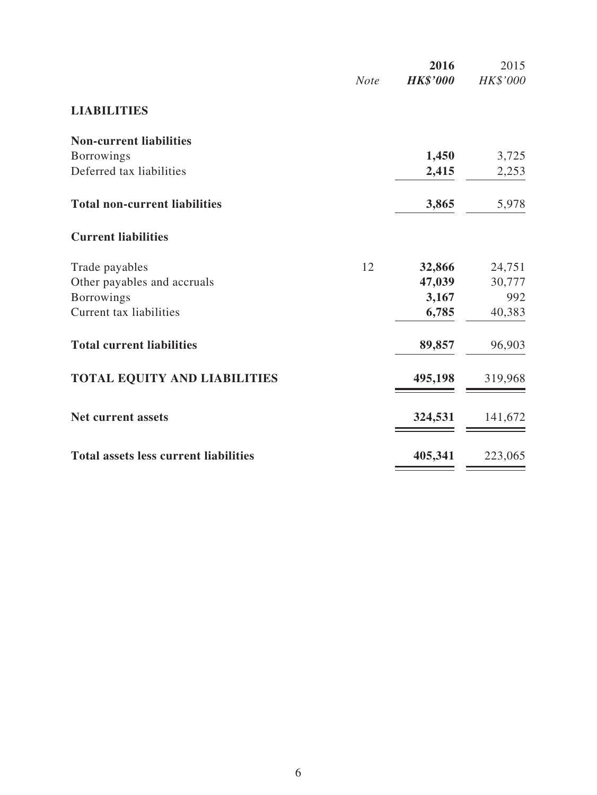|                                              | <b>Note</b> | 2016<br><b>HK\$'000</b> | 2015<br>HK\$'000 |
|----------------------------------------------|-------------|-------------------------|------------------|
| <b>LIABILITIES</b>                           |             |                         |                  |
| <b>Non-current liabilities</b>               |             |                         |                  |
| <b>Borrowings</b>                            |             | 1,450                   | 3,725            |
| Deferred tax liabilities                     |             | 2,415                   | 2,253            |
| <b>Total non-current liabilities</b>         |             | 3,865                   | 5,978            |
| <b>Current liabilities</b>                   |             |                         |                  |
| Trade payables                               | 12          | 32,866                  | 24,751           |
| Other payables and accruals                  |             | 47,039                  | 30,777           |
| <b>Borrowings</b>                            |             | 3,167                   | 992              |
| Current tax liabilities                      |             | 6,785                   | 40,383           |
| <b>Total current liabilities</b>             |             | 89,857                  | 96,903           |
| <b>TOTAL EQUITY AND LIABILITIES</b>          |             | 495,198                 | 319,968          |
| <b>Net current assets</b>                    |             | 324,531                 | 141,672          |
| <b>Total assets less current liabilities</b> |             |                         |                  |
|                                              |             | 405,341                 | 223,065          |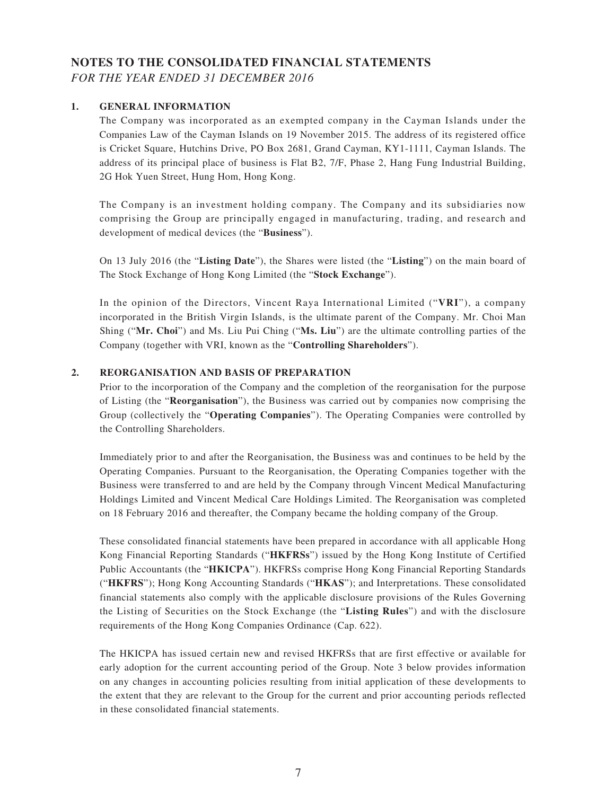### **NOTES TO THE CONSOLIDATED FINANCIAL STATEMENTS** *FOR THE YEAR ENDED 31 DECEMBER 2016*

#### **1. GENERAL INFORMATION**

The Company was incorporated as an exempted company in the Cayman Islands under the Companies Law of the Cayman Islands on 19 November 2015. The address of its registered office is Cricket Square, Hutchins Drive, PO Box 2681, Grand Cayman, KY1-1111, Cayman Islands. The address of its principal place of business is Flat B2, 7/F, Phase 2, Hang Fung Industrial Building, 2G Hok Yuen Street, Hung Hom, Hong Kong.

The Company is an investment holding company. The Company and its subsidiaries now comprising the Group are principally engaged in manufacturing, trading, and research and development of medical devices (the "**Business**").

On 13 July 2016 (the "**Listing Date**"), the Shares were listed (the "**Listing**") on the main board of The Stock Exchange of Hong Kong Limited (the "**Stock Exchange**").

In the opinion of the Directors, Vincent Raya International Limited ("**VRI**"), a company incorporated in the British Virgin Islands, is the ultimate parent of the Company. Mr. Choi Man Shing ("**Mr. Choi**") and Ms. Liu Pui Ching ("**Ms. Liu**") are the ultimate controlling parties of the Company (together with VRI, known as the "**Controlling Shareholders**").

#### **2. REORGANISATION AND BASIS OF PREPARATION**

Prior to the incorporation of the Company and the completion of the reorganisation for the purpose of Listing (the "**Reorganisation**"), the Business was carried out by companies now comprising the Group (collectively the "**Operating Companies**"). The Operating Companies were controlled by the Controlling Shareholders.

Immediately prior to and after the Reorganisation, the Business was and continues to be held by the Operating Companies. Pursuant to the Reorganisation, the Operating Companies together with the Business were transferred to and are held by the Company through Vincent Medical Manufacturing Holdings Limited and Vincent Medical Care Holdings Limited. The Reorganisation was completed on 18 February 2016 and thereafter, the Company became the holding company of the Group.

These consolidated financial statements have been prepared in accordance with all applicable Hong Kong Financial Reporting Standards ("**HKFRSs**") issued by the Hong Kong Institute of Certified Public Accountants (the "**HKICPA**"). HKFRSs comprise Hong Kong Financial Reporting Standards ("**HKFRS**"); Hong Kong Accounting Standards ("**HKAS**"); and Interpretations. These consolidated financial statements also comply with the applicable disclosure provisions of the Rules Governing the Listing of Securities on the Stock Exchange (the "**Listing Rules**") and with the disclosure requirements of the Hong Kong Companies Ordinance (Cap. 622).

The HKICPA has issued certain new and revised HKFRSs that are first effective or available for early adoption for the current accounting period of the Group. Note 3 below provides information on any changes in accounting policies resulting from initial application of these developments to the extent that they are relevant to the Group for the current and prior accounting periods reflected in these consolidated financial statements.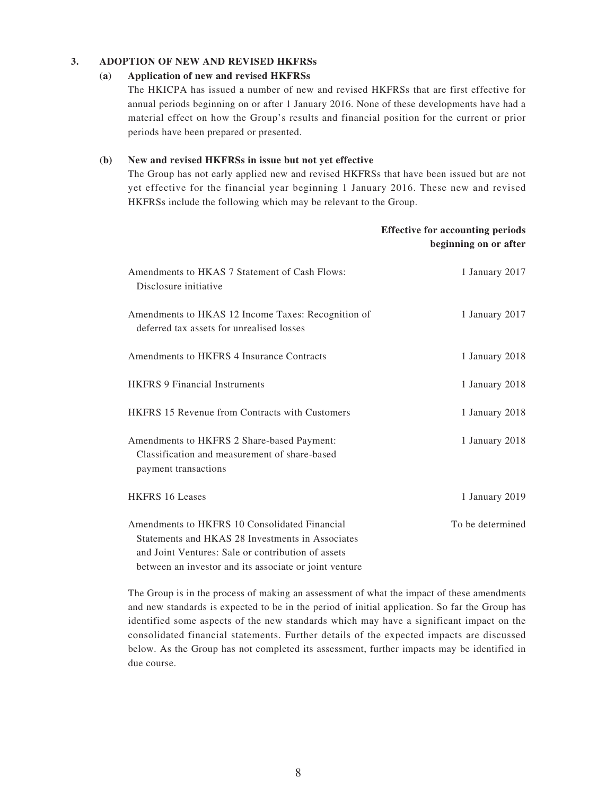#### **3. ADOPTION OF NEW AND REVISED HKFRSs**

#### **(a) Application of new and revised HKFRSs**

The HKICPA has issued a number of new and revised HKFRSs that are first effective for annual periods beginning on or after 1 January 2016. None of these developments have had a material effect on how the Group's results and financial position for the current or prior periods have been prepared or presented.

#### **(b) New and revised HKFRSs in issue but not yet effective**

The Group has not early applied new and revised HKFRSs that have been issued but are not yet effective for the financial year beginning 1 January 2016. These new and revised HKFRSs include the following which may be relevant to the Group.

|                                                                                                                                                                                                                   | <b>Effective for accounting periods</b><br>beginning on or after |
|-------------------------------------------------------------------------------------------------------------------------------------------------------------------------------------------------------------------|------------------------------------------------------------------|
| Amendments to HKAS 7 Statement of Cash Flows:<br>Disclosure initiative                                                                                                                                            | 1 January 2017                                                   |
| Amendments to HKAS 12 Income Taxes: Recognition of<br>deferred tax assets for unrealised losses                                                                                                                   | 1 January 2017                                                   |
| Amendments to HKFRS 4 Insurance Contracts                                                                                                                                                                         | 1 January 2018                                                   |
| <b>HKFRS 9 Financial Instruments</b>                                                                                                                                                                              | 1 January 2018                                                   |
| <b>HKFRS</b> 15 Revenue from Contracts with Customers                                                                                                                                                             | 1 January 2018                                                   |
| Amendments to HKFRS 2 Share-based Payment:<br>Classification and measurement of share-based<br>payment transactions                                                                                               | 1 January 2018                                                   |
| <b>HKFRS 16 Leases</b>                                                                                                                                                                                            | 1 January 2019                                                   |
| Amendments to HKFRS 10 Consolidated Financial<br>Statements and HKAS 28 Investments in Associates<br>and Joint Ventures: Sale or contribution of assets<br>between an investor and its associate or joint venture | To be determined                                                 |

The Group is in the process of making an assessment of what the impact of these amendments and new standards is expected to be in the period of initial application. So far the Group has identified some aspects of the new standards which may have a significant impact on the consolidated financial statements. Further details of the expected impacts are discussed below. As the Group has not completed its assessment, further impacts may be identified in due course.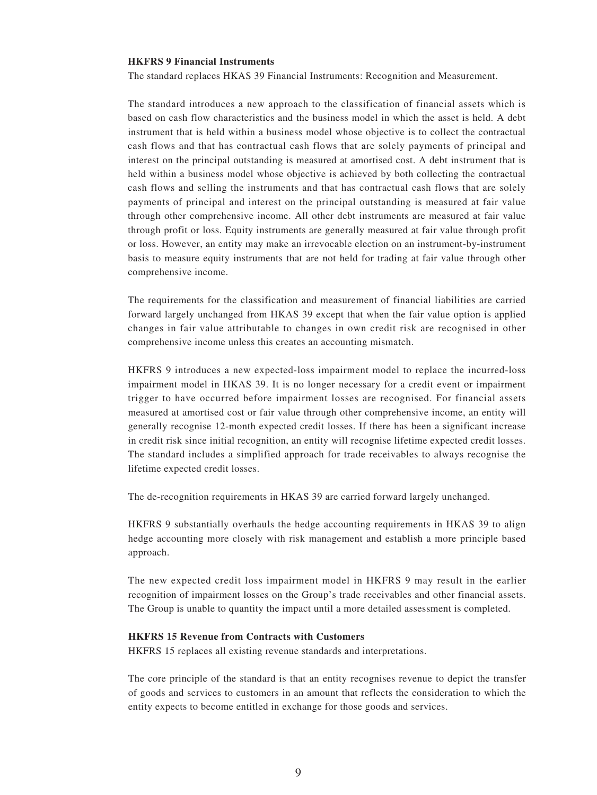#### **HKFRS 9 Financial Instruments**

The standard replaces HKAS 39 Financial Instruments: Recognition and Measurement.

The standard introduces a new approach to the classification of financial assets which is based on cash flow characteristics and the business model in which the asset is held. A debt instrument that is held within a business model whose objective is to collect the contractual cash flows and that has contractual cash flows that are solely payments of principal and interest on the principal outstanding is measured at amortised cost. A debt instrument that is held within a business model whose objective is achieved by both collecting the contractual cash flows and selling the instruments and that has contractual cash flows that are solely payments of principal and interest on the principal outstanding is measured at fair value through other comprehensive income. All other debt instruments are measured at fair value through profit or loss. Equity instruments are generally measured at fair value through profit or loss. However, an entity may make an irrevocable election on an instrument-by-instrument basis to measure equity instruments that are not held for trading at fair value through other comprehensive income.

The requirements for the classification and measurement of financial liabilities are carried forward largely unchanged from HKAS 39 except that when the fair value option is applied changes in fair value attributable to changes in own credit risk are recognised in other comprehensive income unless this creates an accounting mismatch.

HKFRS 9 introduces a new expected-loss impairment model to replace the incurred-loss impairment model in HKAS 39. It is no longer necessary for a credit event or impairment trigger to have occurred before impairment losses are recognised. For financial assets measured at amortised cost or fair value through other comprehensive income, an entity will generally recognise 12-month expected credit losses. If there has been a significant increase in credit risk since initial recognition, an entity will recognise lifetime expected credit losses. The standard includes a simplified approach for trade receivables to always recognise the lifetime expected credit losses.

The de-recognition requirements in HKAS 39 are carried forward largely unchanged.

HKFRS 9 substantially overhauls the hedge accounting requirements in HKAS 39 to align hedge accounting more closely with risk management and establish a more principle based approach.

The new expected credit loss impairment model in HKFRS 9 may result in the earlier recognition of impairment losses on the Group's trade receivables and other financial assets. The Group is unable to quantity the impact until a more detailed assessment is completed.

#### **HKFRS 15 Revenue from Contracts with Customers**

HKFRS 15 replaces all existing revenue standards and interpretations.

The core principle of the standard is that an entity recognises revenue to depict the transfer of goods and services to customers in an amount that reflects the consideration to which the entity expects to become entitled in exchange for those goods and services.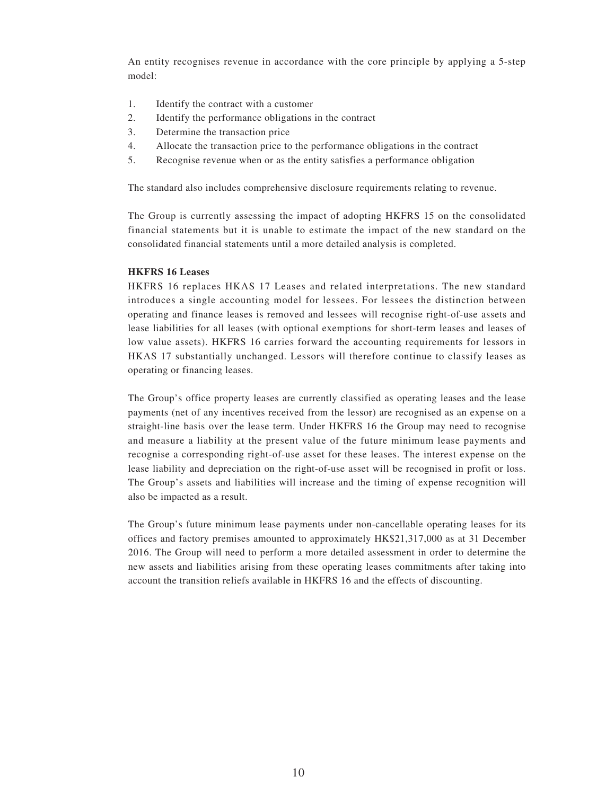An entity recognises revenue in accordance with the core principle by applying a 5-step model:

- 1. Identify the contract with a customer
- 2. Identify the performance obligations in the contract
- 3. Determine the transaction price
- 4. Allocate the transaction price to the performance obligations in the contract
- 5. Recognise revenue when or as the entity satisfies a performance obligation

The standard also includes comprehensive disclosure requirements relating to revenue.

The Group is currently assessing the impact of adopting HKFRS 15 on the consolidated financial statements but it is unable to estimate the impact of the new standard on the consolidated financial statements until a more detailed analysis is completed.

#### **HKFRS 16 Leases**

HKFRS 16 replaces HKAS 17 Leases and related interpretations. The new standard introduces a single accounting model for lessees. For lessees the distinction between operating and finance leases is removed and lessees will recognise right-of-use assets and lease liabilities for all leases (with optional exemptions for short-term leases and leases of low value assets). HKFRS 16 carries forward the accounting requirements for lessors in HKAS 17 substantially unchanged. Lessors will therefore continue to classify leases as operating or financing leases.

The Group's office property leases are currently classified as operating leases and the lease payments (net of any incentives received from the lessor) are recognised as an expense on a straight-line basis over the lease term. Under HKFRS 16 the Group may need to recognise and measure a liability at the present value of the future minimum lease payments and recognise a corresponding right-of-use asset for these leases. The interest expense on the lease liability and depreciation on the right-of-use asset will be recognised in profit or loss. The Group's assets and liabilities will increase and the timing of expense recognition will also be impacted as a result.

The Group's future minimum lease payments under non-cancellable operating leases for its offices and factory premises amounted to approximately HK\$21,317,000 as at 31 December 2016. The Group will need to perform a more detailed assessment in order to determine the new assets and liabilities arising from these operating leases commitments after taking into account the transition reliefs available in HKFRS 16 and the effects of discounting.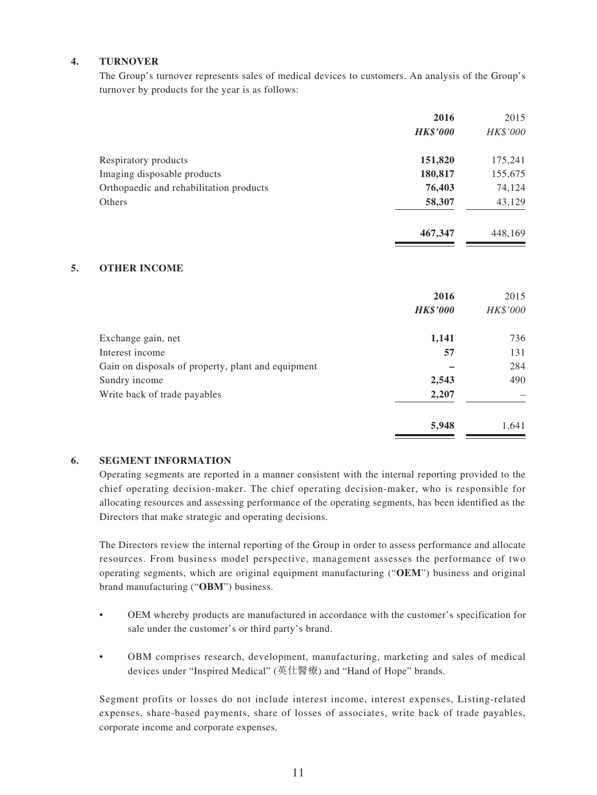#### **4. TURNOVER**

The Group's turnover represents sales of medical devices to customers. An analysis of the Group's turnover by products for the year is as follows:

|                                         | 2016            | 2015     |
|-----------------------------------------|-----------------|----------|
|                                         | <b>HK\$'000</b> | HK\$'000 |
| Respiratory products                    | 151,820         | 175,241  |
| Imaging disposable products             | 180,817         | 155,675  |
| Orthopaedic and rehabilitation products | 76,403          | 74,124   |
| Others                                  | 58,307          | 43,129   |
|                                         | 467,347         | 448.169  |

#### **5. OTHER INCOME**

|                                                    | 2016<br><b>HK\$'000</b> | 2015<br>HK\$'000 |
|----------------------------------------------------|-------------------------|------------------|
| Exchange gain, net                                 | 1,141                   | 736              |
| Interest income                                    | 57                      | 131              |
| Gain on disposals of property, plant and equipment |                         | 284              |
| Sundry income                                      | 2,543                   | 490              |
| Write back of trade payables                       | 2,207                   |                  |
|                                                    | 5,948                   | 1,641            |

#### **6. SEGMENT INFORMATION**

Operating segments are reported in a manner consistent with the internal reporting provided to the chief operating decision-maker. The chief operating decision-maker, who is responsible for allocating resources and assessing performance of the operating segments, has been identified as the Directors that make strategic and operating decisions.

The Directors review the internal reporting of the Group in order to assess performance and allocate resources. From business model perspective, management assesses the performance of two operating segments, which are original equipment manufacturing ("**OEM**") business and original brand manufacturing ("**OBM**") business.

- OEM whereby products are manufactured in accordance with the customer's specification for sale under the customer's or third party's brand.
- • OBM comprises research, development, manufacturing, marketing and sales of medical devices under "Inspired Medical" (英仕醫療) and "Hand of Hope" brands.

Segment profits or losses do not include interest income, interest expenses, Listing-related expenses, share-based payments, share of losses of associates, write back of trade payables, corporate income and corporate expenses.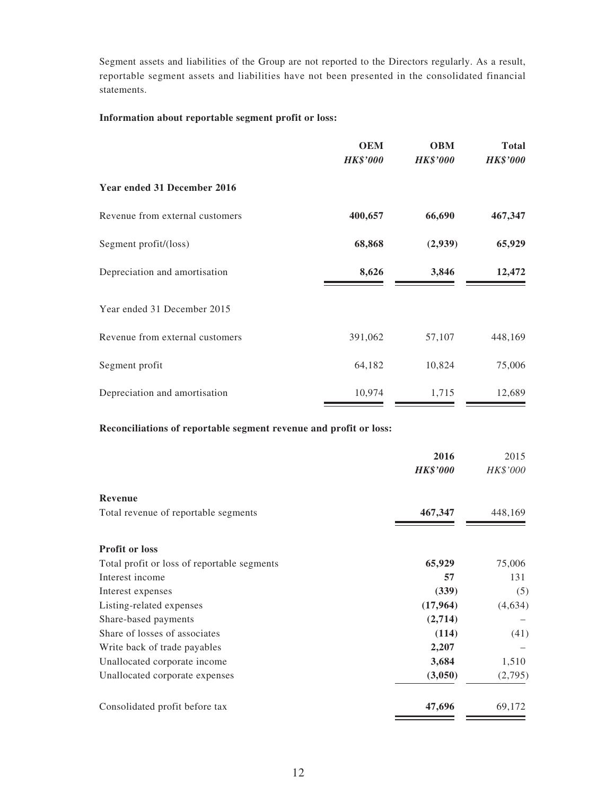Segment assets and liabilities of the Group are not reported to the Directors regularly. As a result, reportable segment assets and liabilities have not been presented in the consolidated financial statements.

#### **Information about reportable segment profit or loss:**

|                                 | <b>OEM</b><br><b>HK\$'000</b> | <b>OBM</b><br><b>HK\$'000</b> | <b>Total</b><br><b>HK\$'000</b> |
|---------------------------------|-------------------------------|-------------------------------|---------------------------------|
| Year ended 31 December 2016     |                               |                               |                                 |
| Revenue from external customers | 400,657                       | 66,690                        | 467,347                         |
| Segment profit/(loss)           | 68,868                        | (2,939)                       | 65,929                          |
| Depreciation and amortisation   | 8,626                         | 3,846                         | 12,472                          |
| Year ended 31 December 2015     |                               |                               |                                 |
| Revenue from external customers | 391,062                       | 57,107                        | 448,169                         |
| Segment profit                  | 64,182                        | 10,824                        | 75,006                          |
| Depreciation and amortisation   | 10,974                        | 1,715                         | 12,689                          |

#### **Reconciliations of reportable segment revenue and profit or loss:**

|                                             | 2016<br><b>HK\$'000</b> | 2015<br>HK\$'000 |
|---------------------------------------------|-------------------------|------------------|
| <b>Revenue</b>                              |                         |                  |
| Total revenue of reportable segments        | 467,347                 | 448,169          |
|                                             |                         |                  |
| <b>Profit or loss</b>                       |                         |                  |
| Total profit or loss of reportable segments | 65,929                  | 75,006           |
| Interest income                             | 57                      | 131              |
| Interest expenses                           | (339)                   | (5)              |
| Listing-related expenses                    | (17,964)                | (4,634)          |
| Share-based payments                        | (2,714)                 |                  |
| Share of losses of associates               | (114)                   | (41)             |
| Write back of trade payables                | 2,207                   |                  |
| Unallocated corporate income                | 3,684                   | 1,510            |
| Unallocated corporate expenses              | (3,050)                 | (2,795)          |
| Consolidated profit before tax              | 47,696                  | 69,172           |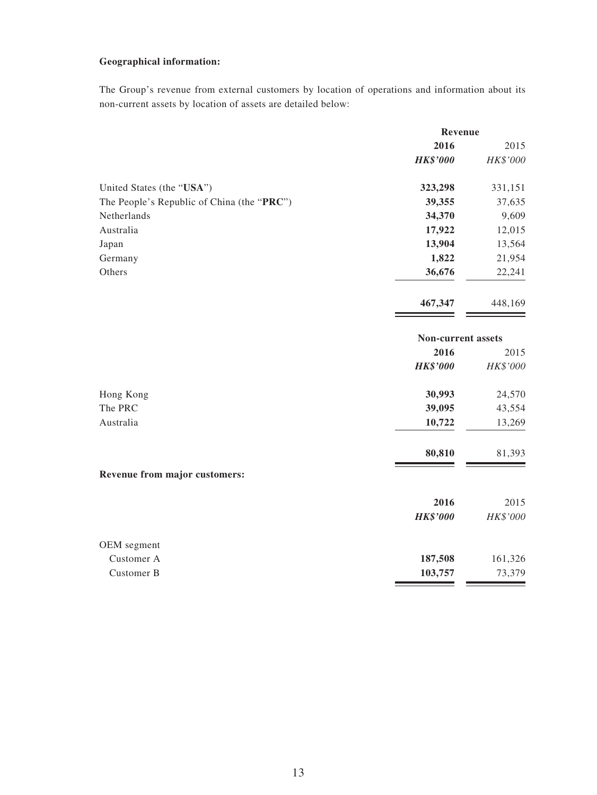#### **Geographical information:**

The Group's revenue from external customers by location of operations and information about its non-current assets by location of assets are detailed below:

|                                            | Revenue                   |          |
|--------------------------------------------|---------------------------|----------|
|                                            | 2016                      | 2015     |
|                                            | <b>HK\$'000</b>           | HK\$'000 |
| United States (the "USA")                  | 323,298                   | 331,151  |
| The People's Republic of China (the "PRC") | 39,355                    | 37,635   |
| Netherlands                                | 34,370                    | 9,609    |
| Australia                                  | 17,922                    | 12,015   |
| Japan                                      | 13,904                    | 13,564   |
| Germany                                    | 1,822                     | 21,954   |
| Others                                     | 36,676                    | 22,241   |
|                                            | 467,347                   | 448,169  |
|                                            | <b>Non-current assets</b> |          |
|                                            | 2016                      | 2015     |
|                                            | <b>HK\$'000</b>           | HK\$'000 |
| Hong Kong                                  | 30,993                    | 24,570   |
| The PRC                                    | 39,095                    | 43,554   |
| Australia                                  | 10,722                    | 13,269   |
|                                            | 80,810                    | 81,393   |
| Revenue from major customers:              |                           |          |
|                                            | 2016                      | 2015     |
|                                            | <b>HK\$'000</b>           | HK\$'000 |
| OEM segment                                |                           |          |
| Customer A                                 | 187,508                   | 161,326  |
| Customer B                                 | 103,757                   | 73,379   |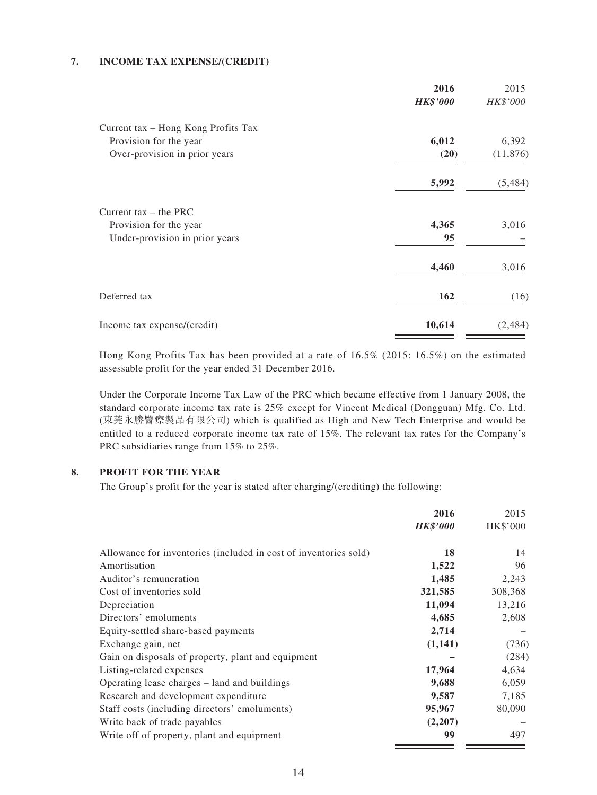#### **7. INCOME TAX EXPENSE/(CREDIT)**

|                                     | 2016            | 2015      |
|-------------------------------------|-----------------|-----------|
|                                     | <b>HK\$'000</b> | HK\$'000  |
| Current tax - Hong Kong Profits Tax |                 |           |
| Provision for the year              | 6,012           | 6,392     |
| Over-provision in prior years       | (20)            | (11, 876) |
|                                     | 5,992           | (5,484)   |
| Current tax $-$ the PRC             |                 |           |
| Provision for the year              | 4,365           | 3,016     |
| Under-provision in prior years      | 95              |           |
|                                     | 4,460           | 3,016     |
| Deferred tax                        | 162             | (16)      |
| Income tax expense/(credit)         | 10,614          | (2,484)   |

Hong Kong Profits Tax has been provided at a rate of 16.5% (2015: 16.5%) on the estimated assessable profit for the year ended 31 December 2016.

Under the Corporate Income Tax Law of the PRC which became effective from 1 January 2008, the standard corporate income tax rate is 25% except for Vincent Medical (Dongguan) Mfg. Co. Ltd. (東莞永勝醫療製品有限公司) which is qualified as High and New Tech Enterprise and would be entitled to a reduced corporate income tax rate of 15%. The relevant tax rates for the Company's PRC subsidiaries range from 15% to 25%.

#### **8. PROFIT FOR THE YEAR**

The Group's profit for the year is stated after charging/(crediting) the following:

|                                                                  | 2016            | 2015     |
|------------------------------------------------------------------|-----------------|----------|
|                                                                  | <b>HK\$'000</b> | HK\$'000 |
| Allowance for inventories (included in cost of inventories sold) | 18              | 14       |
| Amortisation                                                     | 1,522           | 96       |
| Auditor's remuneration                                           | 1,485           | 2,243    |
| Cost of inventories sold                                         | 321,585         | 308,368  |
| Depreciation                                                     | 11,094          | 13,216   |
| Directors' emoluments                                            | 4,685           | 2,608    |
| Equity-settled share-based payments                              | 2,714           |          |
| Exchange gain, net                                               | (1,141)         | (736)    |
| Gain on disposals of property, plant and equipment               |                 | (284)    |
| Listing-related expenses                                         | 17,964          | 4,634    |
| Operating lease charges – land and buildings                     | 9,688           | 6,059    |
| Research and development expenditure                             | 9,587           | 7,185    |
| Staff costs (including directors' emoluments)                    | 95,967          | 80,090   |
| Write back of trade payables                                     | (2,207)         |          |
| Write off of property, plant and equipment                       | 99              | 497      |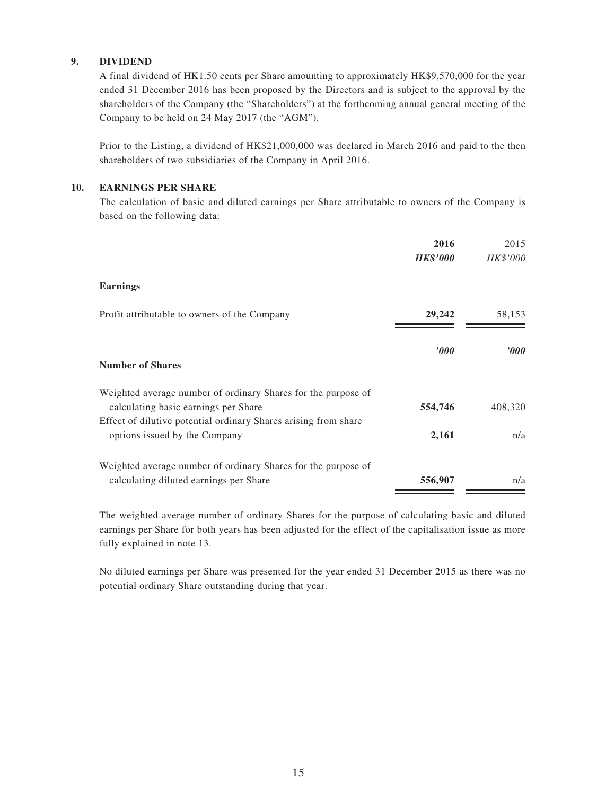#### **9. DIVIDEND**

A final dividend of HK1.50 cents per Share amounting to approximately HK\$9,570,000 for the year ended 31 December 2016 has been proposed by the Directors and is subject to the approval by the shareholders of the Company (the "Shareholders") at the forthcoming annual general meeting of the Company to be held on 24 May 2017 (the "AGM").

Prior to the Listing, a dividend of HK\$21,000,000 was declared in March 2016 and paid to the then shareholders of two subsidiaries of the Company in April 2016.

#### **10. EARNINGS PER SHARE**

The calculation of basic and diluted earnings per Share attributable to owners of the Company is based on the following data:

|                                                                                                         | 2016<br><b>HK\$'000</b> | 2015<br>HK\$'000 |
|---------------------------------------------------------------------------------------------------------|-------------------------|------------------|
| <b>Earnings</b>                                                                                         |                         |                  |
| Profit attributable to owners of the Company                                                            | 29,242                  | 58,153           |
| <b>Number of Shares</b>                                                                                 | $\bm{v}$                | $\bm{v}$         |
| Weighted average number of ordinary Shares for the purpose of<br>calculating basic earnings per Share   | 554,746                 | 408,320          |
| Effect of dilutive potential ordinary Shares arising from share<br>options issued by the Company        | 2,161                   | n/a              |
| Weighted average number of ordinary Shares for the purpose of<br>calculating diluted earnings per Share | 556,907                 | n/a              |

The weighted average number of ordinary Shares for the purpose of calculating basic and diluted earnings per Share for both years has been adjusted for the effect of the capitalisation issue as more fully explained in note 13.

No diluted earnings per Share was presented for the year ended 31 December 2015 as there was no potential ordinary Share outstanding during that year.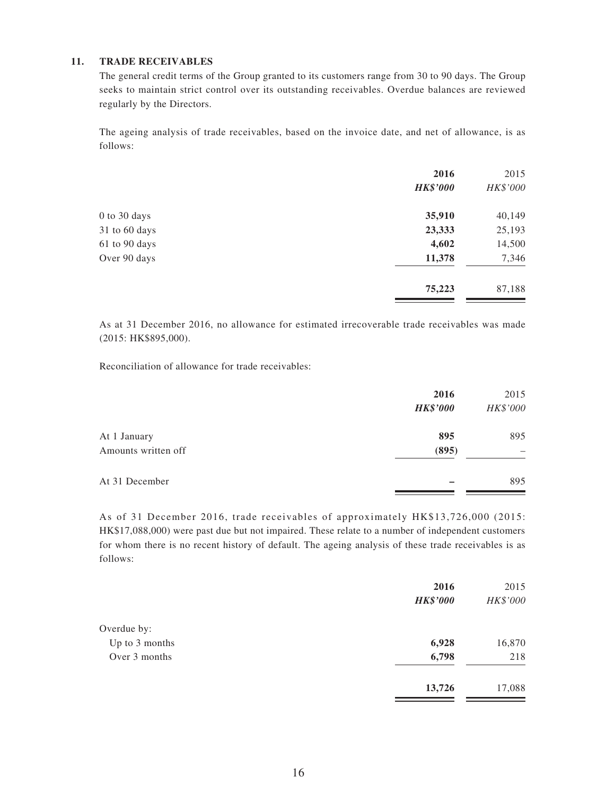#### **11. TRADE RECEIVABLES**

The general credit terms of the Group granted to its customers range from 30 to 90 days. The Group seeks to maintain strict control over its outstanding receivables. Overdue balances are reviewed regularly by the Directors.

The ageing analysis of trade receivables, based on the invoice date, and net of allowance, is as follows:

|                   | 2016<br><b>HK\$'000</b> | 2015<br>HK\$'000 |
|-------------------|-------------------------|------------------|
| 0 to 30 days      | 35,910                  | 40,149           |
| $31$ to $60$ days | 23,333                  | 25,193           |
| 61 to 90 days     | 4,602                   | 14,500           |
| Over 90 days      | 11,378                  | 7,346            |
|                   | 75,223                  | 87,188           |

As at 31 December 2016, no allowance for estimated irrecoverable trade receivables was made (2015: HK\$895,000).

Reconciliation of allowance for trade receivables:

|                     | 2016            | 2015     |
|---------------------|-----------------|----------|
|                     | <b>HK\$'000</b> | HK\$'000 |
| At 1 January        | 895             | 895      |
| Amounts written off | (895)           |          |
| At 31 December      |                 | 895      |

As of 31 December 2016, trade receivables of approximately HK\$13,726,000 (2015: HK\$17,088,000) were past due but not impaired. These relate to a number of independent customers for whom there is no recent history of default. The ageing analysis of these trade receivables is as follows:

|                | 2016<br><b>HK\$'000</b> | 2015<br>HK\$'000 |
|----------------|-------------------------|------------------|
| Overdue by:    |                         |                  |
| Up to 3 months | 6,928                   | 16,870           |
| Over 3 months  | 6,798                   | 218              |
|                | 13,726                  | 17,088           |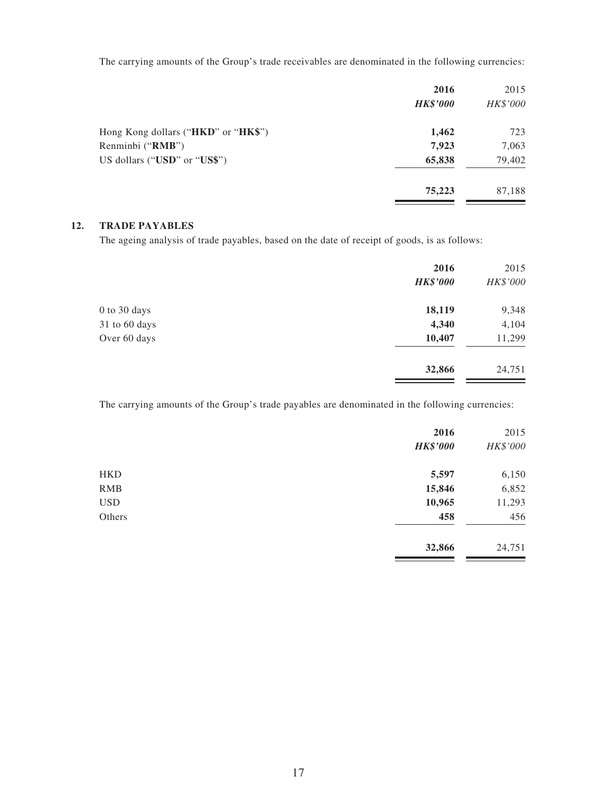The carrying amounts of the Group's trade receivables are denominated in the following currencies:

| 2016            | 2015     |
|-----------------|----------|
| <b>HK\$'000</b> | HK\$'000 |
| 1,462           | 723      |
| 7,923           | 7,063    |
| 65,838          | 79,402   |
| 75,223          | 87,188   |
|                 |          |

#### **12. TRADE PAYABLES**

The ageing analysis of trade payables, based on the date of receipt of goods, is as follows:

|               | 2016<br><b>HK\$'000</b> | 2015<br>HK\$'000 |
|---------------|-------------------------|------------------|
| 0 to 30 days  | 18,119                  | 9,348            |
| 31 to 60 days | 4,340                   | 4,104            |
| Over 60 days  | 10,407                  | 11,299           |
|               | 32,866                  | 24,751           |

The carrying amounts of the Group's trade payables are denominated in the following currencies:

|            | 2016            | 2015     |
|------------|-----------------|----------|
|            | <b>HK\$'000</b> | HK\$'000 |
| <b>HKD</b> | 5,597           | 6,150    |
| <b>RMB</b> | 15,846          | 6,852    |
| <b>USD</b> | 10,965          | 11,293   |
| Others     | 458             | 456      |
|            | 32,866          | 24,751   |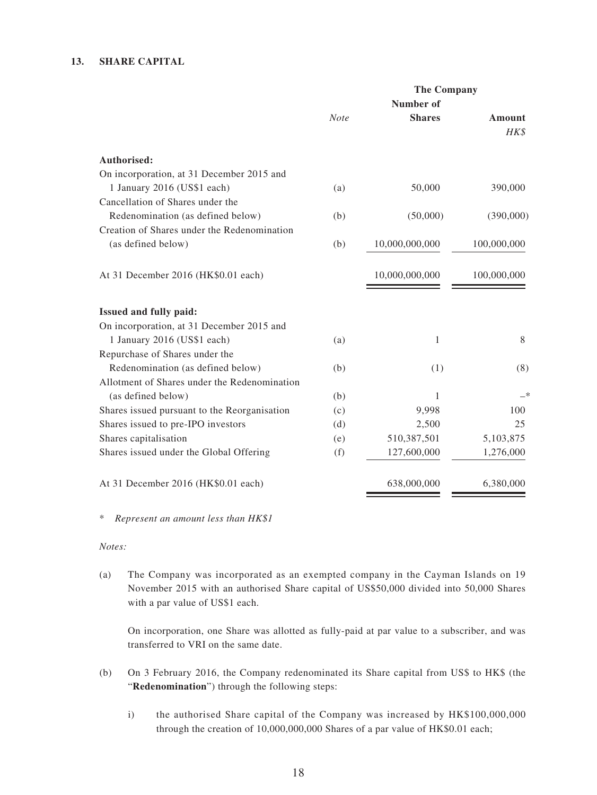#### **13. SHARE CAPITAL**

| <b>The Company</b> |                |                  |  |
|--------------------|----------------|------------------|--|
|                    |                |                  |  |
| <b>Note</b>        | <b>Shares</b>  | Amount<br>HK\$   |  |
|                    |                |                  |  |
|                    |                |                  |  |
| (a)                | 50,000         | 390,000          |  |
|                    |                |                  |  |
| (b)                | (50,000)       | (390,000)        |  |
|                    |                |                  |  |
| (b)                | 10,000,000,000 | 100,000,000      |  |
|                    | 10,000,000,000 | 100,000,000      |  |
|                    |                |                  |  |
|                    |                |                  |  |
| (a)                | 1              | 8                |  |
|                    |                |                  |  |
| (b)                | (1)            | (8)              |  |
|                    |                |                  |  |
| (b)                | 1              | —*               |  |
| (c)                | 9,998          | 100              |  |
| (d)                | 2,500          | 25               |  |
| (e)                | 510,387,501    | 5,103,875        |  |
| (f)                | 127,600,000    | 1,276,000        |  |
|                    | 638,000,000    | 6,380,000        |  |
|                    |                | <b>Number</b> of |  |

\* *Represent an amount less than HK\$1*

*Notes:*

(a) The Company was incorporated as an exempted company in the Cayman Islands on 19 November 2015 with an authorised Share capital of US\$50,000 divided into 50,000 Shares with a par value of US\$1 each.

 On incorporation, one Share was allotted as fully-paid at par value to a subscriber, and was transferred to VRI on the same date.

- (b) On 3 February 2016, the Company redenominated its Share capital from US\$ to HK\$ (the "**Redenomination**") through the following steps:
	- i) the authorised Share capital of the Company was increased by HK\$100,000,000 through the creation of 10,000,000,000 Shares of a par value of HK\$0.01 each;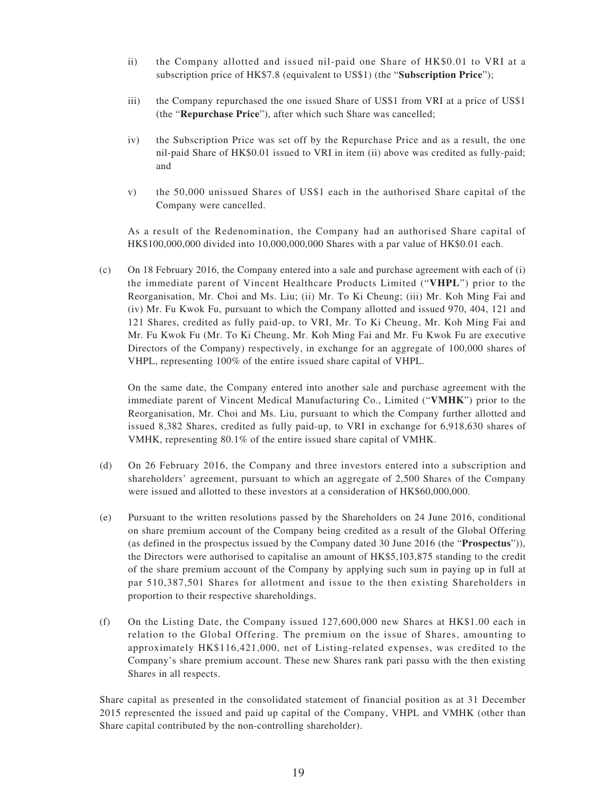- ii) the Company allotted and issued nil-paid one Share of HK\$0.01 to VRI at a subscription price of HK\$7.8 (equivalent to US\$1) (the "**Subscription Price**");
- iii) the Company repurchased the one issued Share of US\$1 from VRI at a price of US\$1 (the "**Repurchase Price**"), after which such Share was cancelled;
- iv) the Subscription Price was set off by the Repurchase Price and as a result, the one nil-paid Share of HK\$0.01 issued to VRI in item (ii) above was credited as fully-paid; and
- v) the 50,000 unissued Shares of US\$1 each in the authorised Share capital of the Company were cancelled.

As a result of the Redenomination, the Company had an authorised Share capital of HK\$100,000,000 divided into 10,000,000,000 Shares with a par value of HK\$0.01 each.

(c) On 18 February 2016, the Company entered into a sale and purchase agreement with each of (i) the immediate parent of Vincent Healthcare Products Limited ("**VHPL**") prior to the Reorganisation, Mr. Choi and Ms. Liu; (ii) Mr. To Ki Cheung; (iii) Mr. Koh Ming Fai and (iv) Mr. Fu Kwok Fu, pursuant to which the Company allotted and issued 970, 404, 121 and 121 Shares, credited as fully paid-up, to VRI, Mr. To Ki Cheung, Mr. Koh Ming Fai and Mr. Fu Kwok Fu (Mr. To Ki Cheung, Mr. Koh Ming Fai and Mr. Fu Kwok Fu are executive Directors of the Company) respectively, in exchange for an aggregate of 100,000 shares of VHPL, representing 100% of the entire issued share capital of VHPL.

 On the same date, the Company entered into another sale and purchase agreement with the immediate parent of Vincent Medical Manufacturing Co., Limited ("**VMHK**") prior to the Reorganisation, Mr. Choi and Ms. Liu, pursuant to which the Company further allotted and issued 8,382 Shares, credited as fully paid-up, to VRI in exchange for 6,918,630 shares of VMHK, representing 80.1% of the entire issued share capital of VMHK.

- (d) On 26 February 2016, the Company and three investors entered into a subscription and shareholders' agreement, pursuant to which an aggregate of 2,500 Shares of the Company were issued and allotted to these investors at a consideration of HK\$60,000,000.
- (e) Pursuant to the written resolutions passed by the Shareholders on 24 June 2016, conditional on share premium account of the Company being credited as a result of the Global Offering (as defined in the prospectus issued by the Company dated 30 June 2016 (the "**Prospectus**")), the Directors were authorised to capitalise an amount of HK\$5,103,875 standing to the credit of the share premium account of the Company by applying such sum in paying up in full at par 510,387,501 Shares for allotment and issue to the then existing Shareholders in proportion to their respective shareholdings.
- (f) On the Listing Date, the Company issued  $127,600,000$  new Shares at HK\$1.00 each in relation to the Global Offering. The premium on the issue of Shares, amounting to approximately HK\$116,421,000, net of Listing-related expenses, was credited to the Company's share premium account. These new Shares rank pari passu with the then existing Shares in all respects.

Share capital as presented in the consolidated statement of financial position as at 31 December 2015 represented the issued and paid up capital of the Company, VHPL and VMHK (other than Share capital contributed by the non-controlling shareholder).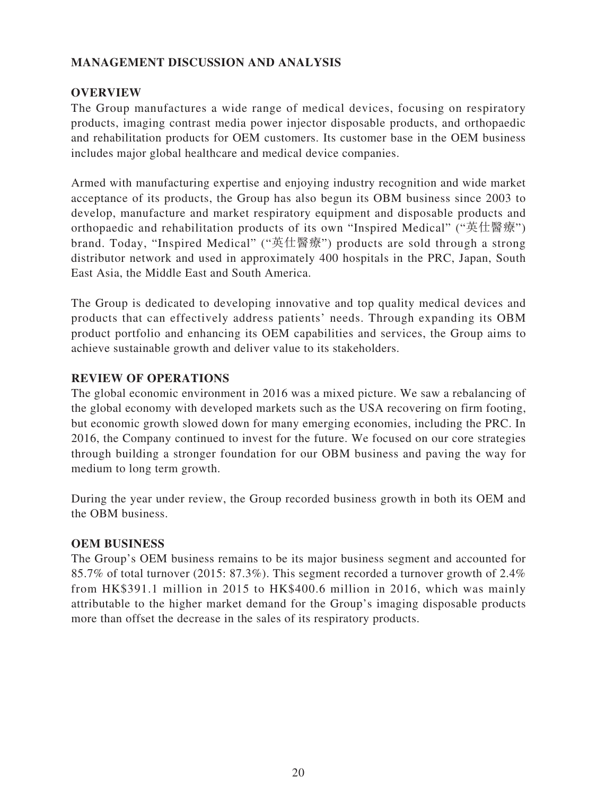### **MANAGEMENT DISCUSSION AND ANALYSIS**

#### **OVERVIEW**

The Group manufactures a wide range of medical devices, focusing on respiratory products, imaging contrast media power injector disposable products, and orthopaedic and rehabilitation products for OEM customers. Its customer base in the OEM business includes major global healthcare and medical device companies.

Armed with manufacturing expertise and enjoying industry recognition and wide market acceptance of its products, the Group has also begun its OBM business since 2003 to develop, manufacture and market respiratory equipment and disposable products and orthopaedic and rehabilitation products of its own "Inspired Medical" ("英仕醫療") brand. Today, "Inspired Medical" ("英仕醫療") products are sold through a strong distributor network and used in approximately 400 hospitals in the PRC, Japan, South East Asia, the Middle East and South America.

The Group is dedicated to developing innovative and top quality medical devices and products that can effectively address patients' needs. Through expanding its OBM product portfolio and enhancing its OEM capabilities and services, the Group aims to achieve sustainable growth and deliver value to its stakeholders.

#### **REVIEW OF OPERATIONS**

The global economic environment in 2016 was a mixed picture. We saw a rebalancing of the global economy with developed markets such as the USA recovering on firm footing, but economic growth slowed down for many emerging economies, including the PRC. In 2016, the Company continued to invest for the future. We focused on our core strategies through building a stronger foundation for our OBM business and paving the way for medium to long term growth.

During the year under review, the Group recorded business growth in both its OEM and the OBM business.

#### **OEM BUSINESS**

The Group's OEM business remains to be its major business segment and accounted for 85.7% of total turnover (2015: 87.3%). This segment recorded a turnover growth of 2.4% from HK\$391.1 million in 2015 to HK\$400.6 million in 2016, which was mainly attributable to the higher market demand for the Group's imaging disposable products more than offset the decrease in the sales of its respiratory products.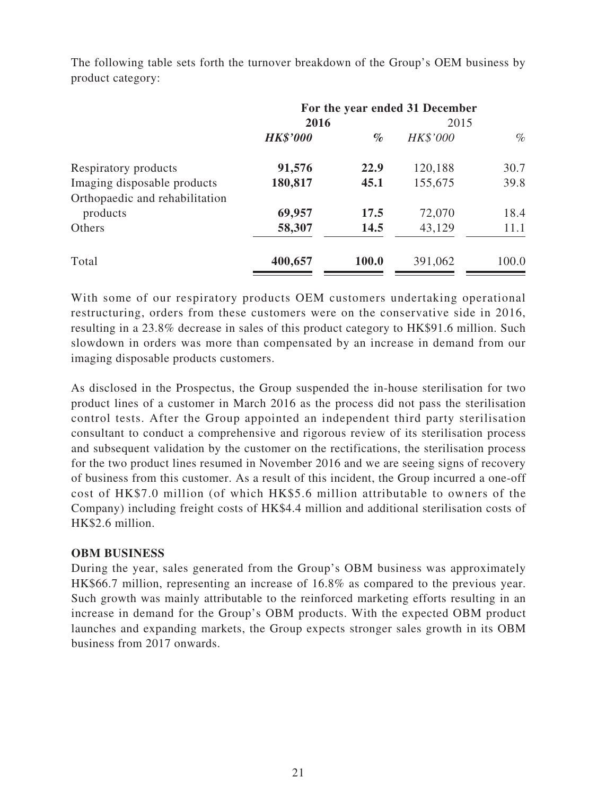|                                | For the year ended 31 December |       |          |       |
|--------------------------------|--------------------------------|-------|----------|-------|
|                                | 2016                           |       | 2015     |       |
|                                | <b>HK\$'000</b>                | $\%$  | HK\$'000 | $\%$  |
| Respiratory products           | 91,576                         | 22.9  | 120,188  | 30.7  |
| Imaging disposable products    | 180,817                        | 45.1  | 155,675  | 39.8  |
| Orthopaedic and rehabilitation |                                |       |          |       |
| products                       | 69,957                         | 17.5  | 72,070   | 18.4  |
| Others                         | 58,307                         | 14.5  | 43,129   | 11.1  |
| Total                          | 400,657                        | 100.0 | 391,062  | 100.0 |

The following table sets forth the turnover breakdown of the Group's OEM business by product category:

With some of our respiratory products OEM customers undertaking operational restructuring, orders from these customers were on the conservative side in 2016, resulting in a 23.8% decrease in sales of this product category to HK\$91.6 million. Such slowdown in orders was more than compensated by an increase in demand from our imaging disposable products customers.

As disclosed in the Prospectus, the Group suspended the in-house sterilisation for two product lines of a customer in March 2016 as the process did not pass the sterilisation control tests. After the Group appointed an independent third party sterilisation consultant to conduct a comprehensive and rigorous review of its sterilisation process and subsequent validation by the customer on the rectifications, the sterilisation process for the two product lines resumed in November 2016 and we are seeing signs of recovery of business from this customer. As a result of this incident, the Group incurred a one-off cost of HK\$7.0 million (of which HK\$5.6 million attributable to owners of the Company) including freight costs of HK\$4.4 million and additional sterilisation costs of HK\$2.6 million.

#### **OBM BUSINESS**

During the year, sales generated from the Group's OBM business was approximately HK\$66.7 million, representing an increase of 16.8% as compared to the previous year. Such growth was mainly attributable to the reinforced marketing efforts resulting in an increase in demand for the Group's OBM products. With the expected OBM product launches and expanding markets, the Group expects stronger sales growth in its OBM business from 2017 onwards.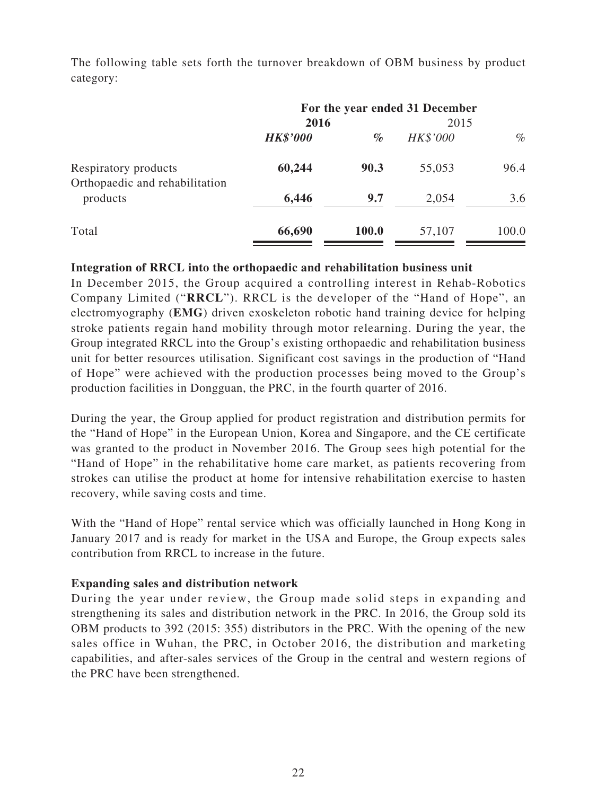The following table sets forth the turnover breakdown of OBM business by product category:

|                                                        | For the year ended 31 December |       |          |       |
|--------------------------------------------------------|--------------------------------|-------|----------|-------|
|                                                        | 2016                           |       | 2015     |       |
|                                                        | <b>HK\$'000</b>                | $\%$  | HK\$'000 | $\%$  |
| Respiratory products<br>Orthopaedic and rehabilitation | 60,244                         | 90.3  | 55,053   | 96.4  |
| products                                               | 6,446                          | 9.7   | 2,054    | 3.6   |
| Total                                                  | 66,690                         | 100.0 | 57,107   | 100.0 |

#### **Integration of RRCL into the orthopaedic and rehabilitation business unit**

In December 2015, the Group acquired a controlling interest in Rehab-Robotics Company Limited ("**RRCL**"). RRCL is the developer of the "Hand of Hope", an electromyography (**EMG**) driven exoskeleton robotic hand training device for helping stroke patients regain hand mobility through motor relearning. During the year, the Group integrated RRCL into the Group's existing orthopaedic and rehabilitation business unit for better resources utilisation. Significant cost savings in the production of "Hand of Hope" were achieved with the production processes being moved to the Group's production facilities in Dongguan, the PRC, in the fourth quarter of 2016.

During the year, the Group applied for product registration and distribution permits for the "Hand of Hope" in the European Union, Korea and Singapore, and the CE certificate was granted to the product in November 2016. The Group sees high potential for the "Hand of Hope" in the rehabilitative home care market, as patients recovering from strokes can utilise the product at home for intensive rehabilitation exercise to hasten recovery, while saving costs and time.

With the "Hand of Hope" rental service which was officially launched in Hong Kong in January 2017 and is ready for market in the USA and Europe, the Group expects sales contribution from RRCL to increase in the future.

#### **Expanding sales and distribution network**

During the year under review, the Group made solid steps in expanding and strengthening its sales and distribution network in the PRC. In 2016, the Group sold its OBM products to 392 (2015: 355) distributors in the PRC. With the opening of the new sales office in Wuhan, the PRC, in October 2016, the distribution and marketing capabilities, and after-sales services of the Group in the central and western regions of the PRC have been strengthened.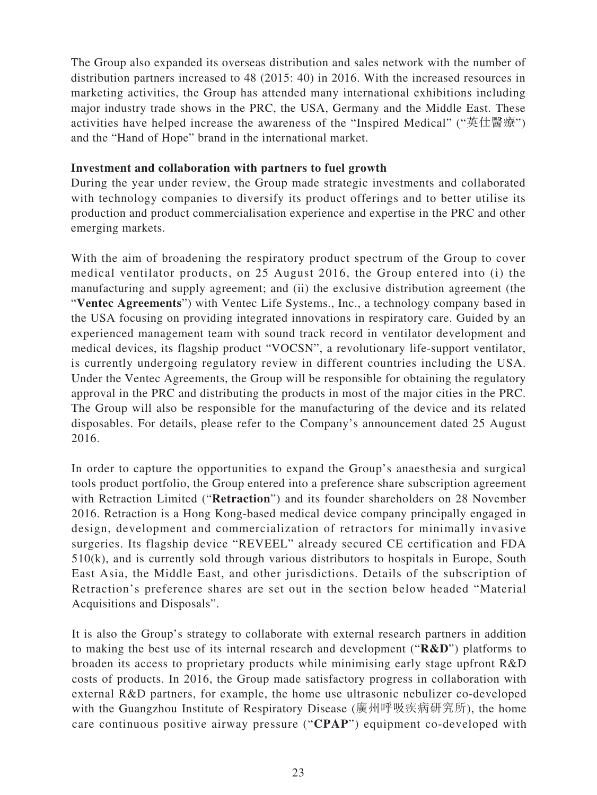The Group also expanded its overseas distribution and sales network with the number of distribution partners increased to 48 (2015: 40) in 2016. With the increased resources in marketing activities, the Group has attended many international exhibitions including major industry trade shows in the PRC, the USA, Germany and the Middle East. These activities have helped increase the awareness of the "Inspired Medical" ("英仕醫療") and the "Hand of Hope" brand in the international market.

#### **Investment and collaboration with partners to fuel growth**

During the year under review, the Group made strategic investments and collaborated with technology companies to diversify its product offerings and to better utilise its production and product commercialisation experience and expertise in the PRC and other emerging markets.

With the aim of broadening the respiratory product spectrum of the Group to cover medical ventilator products, on 25 August 2016, the Group entered into (i) the manufacturing and supply agreement; and (ii) the exclusive distribution agreement (the "**Ventec Agreements**") with Ventec Life Systems., Inc., a technology company based in the USA focusing on providing integrated innovations in respiratory care. Guided by an experienced management team with sound track record in ventilator development and medical devices, its flagship product "VOCSN", a revolutionary life-support ventilator, is currently undergoing regulatory review in different countries including the USA. Under the Ventec Agreements, the Group will be responsible for obtaining the regulatory approval in the PRC and distributing the products in most of the major cities in the PRC. The Group will also be responsible for the manufacturing of the device and its related disposables. For details, please refer to the Company's announcement dated 25 August 2016.

In order to capture the opportunities to expand the Group's anaesthesia and surgical tools product portfolio, the Group entered into a preference share subscription agreement with Retraction Limited ("**Retraction**") and its founder shareholders on 28 November 2016. Retraction is a Hong Kong-based medical device company principally engaged in design, development and commercialization of retractors for minimally invasive surgeries. Its flagship device "REVEEL" already secured CE certification and FDA 510(k), and is currently sold through various distributors to hospitals in Europe, South East Asia, the Middle East, and other jurisdictions. Details of the subscription of Retraction's preference shares are set out in the section below headed "Material Acquisitions and Disposals".

It is also the Group's strategy to collaborate with external research partners in addition to making the best use of its internal research and development ("**R&D**") platforms to broaden its access to proprietary products while minimising early stage upfront R&D costs of products. In 2016, the Group made satisfactory progress in collaboration with external R&D partners, for example, the home use ultrasonic nebulizer co-developed with the Guangzhou Institute of Respiratory Disease (廣州呼吸疾病研究所), the home care continuous positive airway pressure ("**CPAP**") equipment co-developed with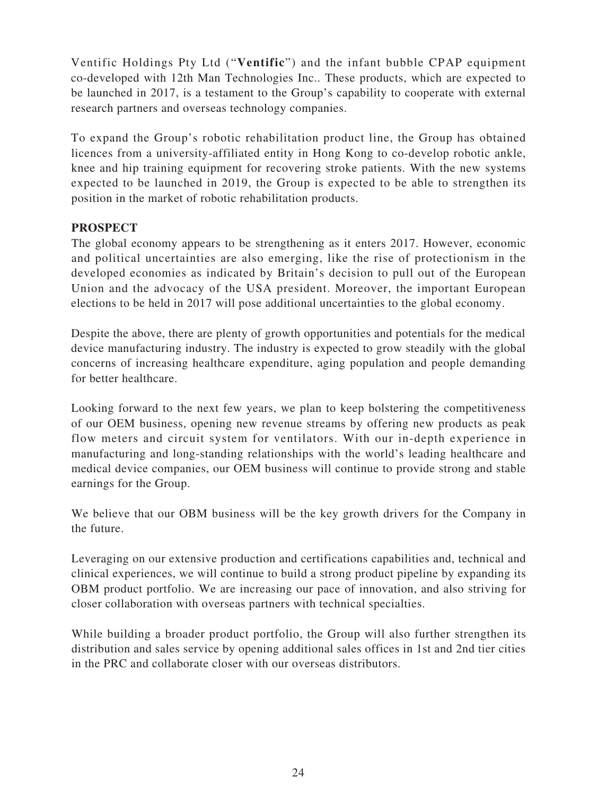Ventific Holdings Pty Ltd ("**Ventific**") and the infant bubble CPAP equipment co-developed with 12th Man Technologies Inc.. These products, which are expected to be launched in 2017, is a testament to the Group's capability to cooperate with external research partners and overseas technology companies.

To expand the Group's robotic rehabilitation product line, the Group has obtained licences from a university-affiliated entity in Hong Kong to co-develop robotic ankle, knee and hip training equipment for recovering stroke patients. With the new systems expected to be launched in 2019, the Group is expected to be able to strengthen its position in the market of robotic rehabilitation products.

### **PROSPECT**

The global economy appears to be strengthening as it enters 2017. However, economic and political uncertainties are also emerging, like the rise of protectionism in the developed economies as indicated by Britain's decision to pull out of the European Union and the advocacy of the USA president. Moreover, the important European elections to be held in 2017 will pose additional uncertainties to the global economy.

Despite the above, there are plenty of growth opportunities and potentials for the medical device manufacturing industry. The industry is expected to grow steadily with the global concerns of increasing healthcare expenditure, aging population and people demanding for better healthcare.

Looking forward to the next few years, we plan to keep bolstering the competitiveness of our OEM business, opening new revenue streams by offering new products as peak flow meters and circuit system for ventilators. With our in-depth experience in manufacturing and long-standing relationships with the world's leading healthcare and medical device companies, our OEM business will continue to provide strong and stable earnings for the Group.

We believe that our OBM business will be the key growth drivers for the Company in the future.

Leveraging on our extensive production and certifications capabilities and, technical and clinical experiences, we will continue to build a strong product pipeline by expanding its OBM product portfolio. We are increasing our pace of innovation, and also striving for closer collaboration with overseas partners with technical specialties.

While building a broader product portfolio, the Group will also further strengthen its distribution and sales service by opening additional sales offices in 1st and 2nd tier cities in the PRC and collaborate closer with our overseas distributors.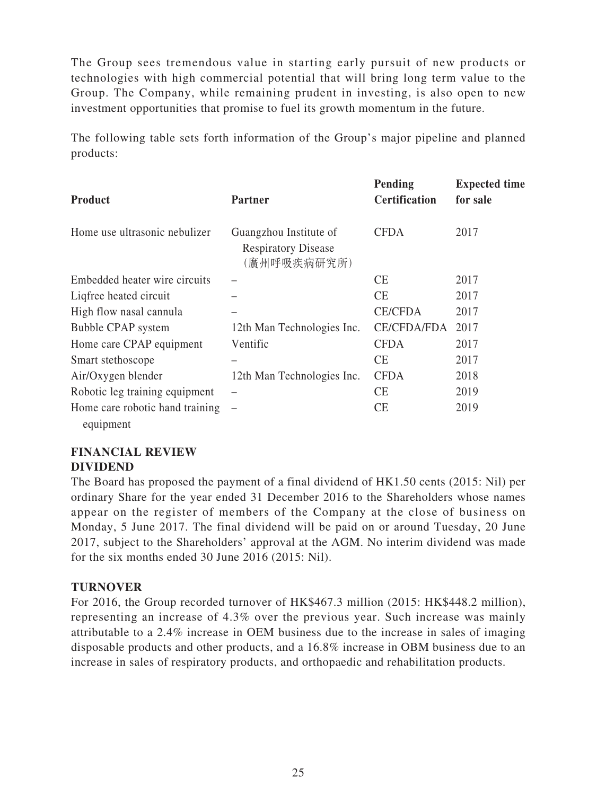The Group sees tremendous value in starting early pursuit of new products or technologies with high commercial potential that will bring long term value to the Group. The Company, while remaining prudent in investing, is also open to new investment opportunities that promise to fuel its growth momentum in the future.

The following table sets forth information of the Group's major pipeline and planned products:

| <b>Product</b>                  | <b>Partner</b>                                                      | Pending<br><b>Certification</b> | <b>Expected time</b><br>for sale |
|---------------------------------|---------------------------------------------------------------------|---------------------------------|----------------------------------|
| Home use ultrasonic nebulizer   | Guangzhou Institute of<br><b>Respiratory Disease</b><br>(廣州呼吸疾病研究所) | <b>CFDA</b>                     | 2017                             |
| Embedded heater wire circuits   |                                                                     | <b>CE</b>                       | 2017                             |
| Liqfree heated circuit          |                                                                     | <b>CE</b>                       | 2017                             |
| High flow nasal cannula         |                                                                     | <b>CE/CFDA</b>                  | 2017                             |
| Bubble CPAP system              | 12th Man Technologies Inc.                                          | CE/CFDA/FDA                     | 2017                             |
| Home care CPAP equipment        | Ventific                                                            | <b>CFDA</b>                     | 2017                             |
| Smart stethoscope               |                                                                     | <b>CE</b>                       | 2017                             |
| Air/Oxygen blender              | 12th Man Technologies Inc.                                          | <b>CFDA</b>                     | 2018                             |
| Robotic leg training equipment  |                                                                     | <b>CE</b>                       | 2019                             |
| Home care robotic hand training |                                                                     | <b>CE</b>                       | 2019                             |
| equipment                       |                                                                     |                                 |                                  |

### **FINANCIAL REVIEW DIVIDEND**

The Board has proposed the payment of a final dividend of HK1.50 cents (2015: Nil) per ordinary Share for the year ended 31 December 2016 to the Shareholders whose names appear on the register of members of the Company at the close of business on Monday, 5 June 2017. The final dividend will be paid on or around Tuesday, 20 June 2017, subject to the Shareholders' approval at the AGM. No interim dividend was made for the six months ended 30 June 2016 (2015: Nil).

### **TURNOVER**

For 2016, the Group recorded turnover of HK\$467.3 million (2015: HK\$448.2 million), representing an increase of 4.3% over the previous year. Such increase was mainly attributable to a 2.4% increase in OEM business due to the increase in sales of imaging disposable products and other products, and a 16.8% increase in OBM business due to an increase in sales of respiratory products, and orthopaedic and rehabilitation products.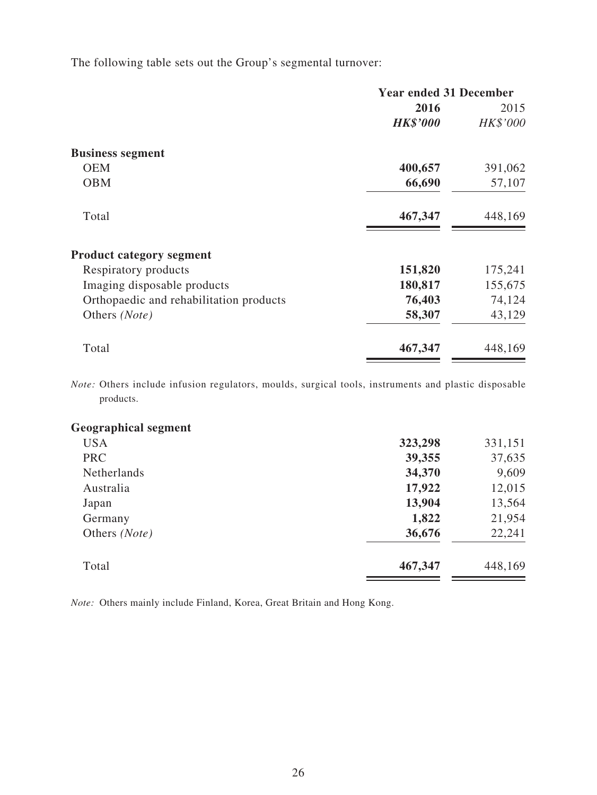The following table sets out the Group's segmental turnover:

| <b>Year ended 31 December</b> |          |
|-------------------------------|----------|
| 2016                          | 2015     |
| <b>HK\$'000</b>               | HK\$'000 |
|                               |          |
| 400,657                       | 391,062  |
| 66,690                        | 57,107   |
| 467,347                       | 448,169  |
|                               |          |
| 151,820                       | 175,241  |
| 180,817                       | 155,675  |
| 76,403                        | 74,124   |
| 58,307                        | 43,129   |
| 467,347                       | 448,169  |
|                               |          |

*Note:* Others include infusion regulators, moulds, surgical tools, instruments and plastic disposable products.

| <b>Geographical segment</b> |         |         |
|-----------------------------|---------|---------|
| <b>USA</b>                  | 323,298 | 331,151 |
| <b>PRC</b>                  | 39,355  | 37,635  |
| <b>Netherlands</b>          | 34,370  | 9,609   |
| Australia                   | 17,922  | 12,015  |
| Japan                       | 13,904  | 13,564  |
| Germany                     | 1,822   | 21,954  |
| Others (Note)               | 36,676  | 22,241  |
| Total                       | 467,347 | 448,169 |

*Note:* Others mainly include Finland, Korea, Great Britain and Hong Kong.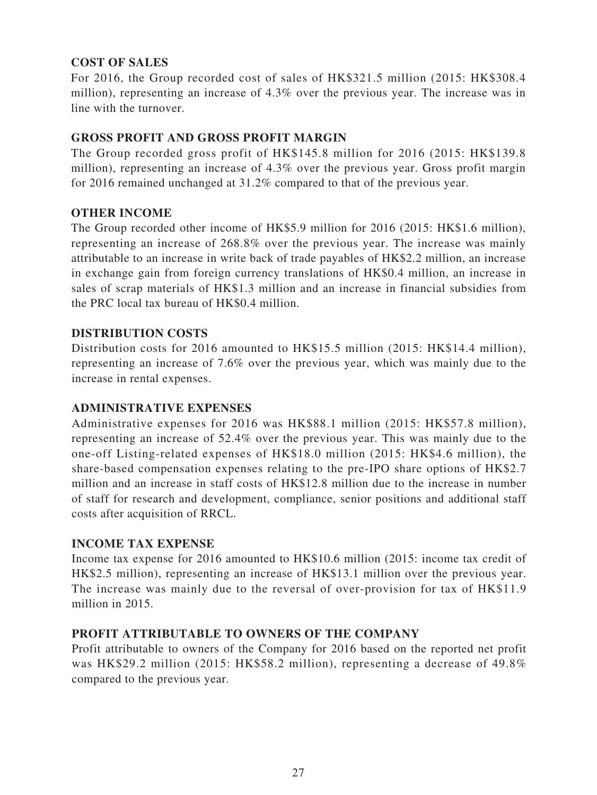### **COST OF SALES**

For 2016, the Group recorded cost of sales of HK\$321.5 million (2015: HK\$308.4 million), representing an increase of 4.3% over the previous year. The increase was in line with the turnover.

### **GROSS PROFIT AND GROSS PROFIT MARGIN**

The Group recorded gross profit of HK\$145.8 million for 2016 (2015: HK\$139.8 million), representing an increase of 4.3% over the previous year. Gross profit margin for 2016 remained unchanged at 31.2% compared to that of the previous year.

### **OTHER INCOME**

The Group recorded other income of HK\$5.9 million for 2016 (2015: HK\$1.6 million), representing an increase of 268.8% over the previous year. The increase was mainly attributable to an increase in write back of trade payables of HK\$2.2 million, an increase in exchange gain from foreign currency translations of HK\$0.4 million, an increase in sales of scrap materials of HK\$1.3 million and an increase in financial subsidies from the PRC local tax bureau of HK\$0.4 million.

### **DISTRIBUTION COSTS**

Distribution costs for 2016 amounted to HK\$15.5 million (2015: HK\$14.4 million), representing an increase of 7.6% over the previous year, which was mainly due to the increase in rental expenses.

### **ADMINISTRATIVE EXPENSES**

Administrative expenses for 2016 was HK\$88.1 million (2015: HK\$57.8 million), representing an increase of 52.4% over the previous year. This was mainly due to the one-off Listing-related expenses of HK\$18.0 million (2015: HK\$4.6 million), the share-based compensation expenses relating to the pre-IPO share options of HK\$2.7 million and an increase in staff costs of HK\$12.8 million due to the increase in number of staff for research and development, compliance, senior positions and additional staff costs after acquisition of RRCL.

#### **INCOME TAX EXPENSE**

Income tax expense for 2016 amounted to HK\$10.6 million (2015: income tax credit of HK\$2.5 million), representing an increase of HK\$13.1 million over the previous year. The increase was mainly due to the reversal of over-provision for tax of HK\$11.9 million in 2015.

#### **PROFIT ATTRIBUTABLE TO OWNERS OF THE COMPANY**

Profit attributable to owners of the Company for 2016 based on the reported net profit was HK\$29.2 million (2015: HK\$58.2 million), representing a decrease of 49.8% compared to the previous year.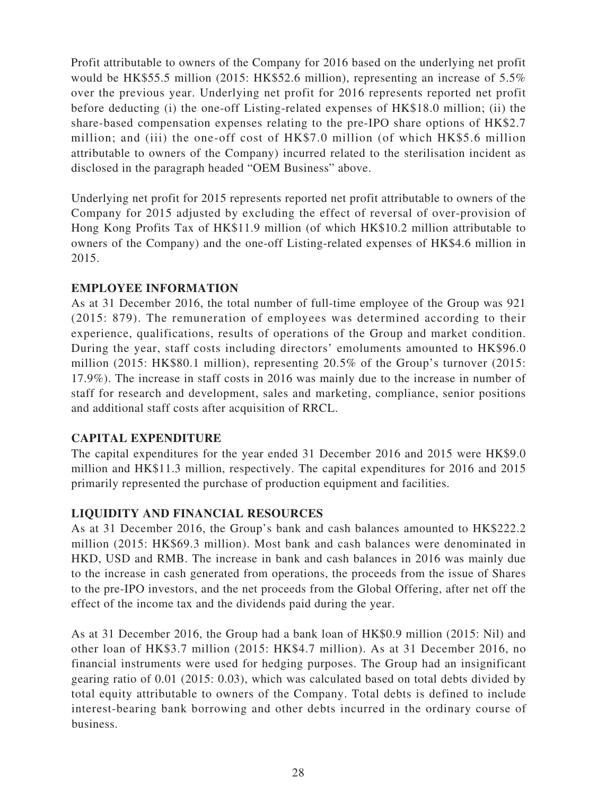Profit attributable to owners of the Company for 2016 based on the underlying net profit would be HK\$55.5 million (2015: HK\$52.6 million), representing an increase of 5.5% over the previous year. Underlying net profit for 2016 represents reported net profit before deducting (i) the one-off Listing-related expenses of HK\$18.0 million; (ii) the share-based compensation expenses relating to the pre-IPO share options of HK\$2.7 million; and (iii) the one-off cost of HK\$7.0 million (of which HK\$5.6 million attributable to owners of the Company) incurred related to the sterilisation incident as disclosed in the paragraph headed "OEM Business" above.

Underlying net profit for 2015 represents reported net profit attributable to owners of the Company for 2015 adjusted by excluding the effect of reversal of over-provision of Hong Kong Profits Tax of HK\$11.9 million (of which HK\$10.2 million attributable to owners of the Company) and the one-off Listing-related expenses of HK\$4.6 million in 2015.

### **EMPLOYEE INFORMATION**

As at 31 December 2016, the total number of full-time employee of the Group was 921 (2015: 879). The remuneration of employees was determined according to their experience, qualifications, results of operations of the Group and market condition. During the year, staff costs including directors' emoluments amounted to HK\$96.0 million (2015: HK\$80.1 million), representing 20.5% of the Group's turnover (2015: 17.9%). The increase in staff costs in 2016 was mainly due to the increase in number of staff for research and development, sales and marketing, compliance, senior positions and additional staff costs after acquisition of RRCL.

#### **CAPITAL EXPENDITURE**

The capital expenditures for the year ended 31 December 2016 and 2015 were HK\$9.0 million and HK\$11.3 million, respectively. The capital expenditures for 2016 and 2015 primarily represented the purchase of production equipment and facilities.

# **LIQUIDITY AND FINANCIAL RESOURCES**

As at 31 December 2016, the Group's bank and cash balances amounted to HK\$222.2 million (2015: HK\$69.3 million). Most bank and cash balances were denominated in HKD, USD and RMB. The increase in bank and cash balances in 2016 was mainly due to the increase in cash generated from operations, the proceeds from the issue of Shares to the pre-IPO investors, and the net proceeds from the Global Offering, after net off the effect of the income tax and the dividends paid during the year.

As at 31 December 2016, the Group had a bank loan of HK\$0.9 million (2015: Nil) and other loan of HK\$3.7 million (2015: HK\$4.7 million). As at 31 December 2016, no financial instruments were used for hedging purposes. The Group had an insignificant gearing ratio of 0.01 (2015: 0.03), which was calculated based on total debts divided by total equity attributable to owners of the Company. Total debts is defined to include interest-bearing bank borrowing and other debts incurred in the ordinary course of business.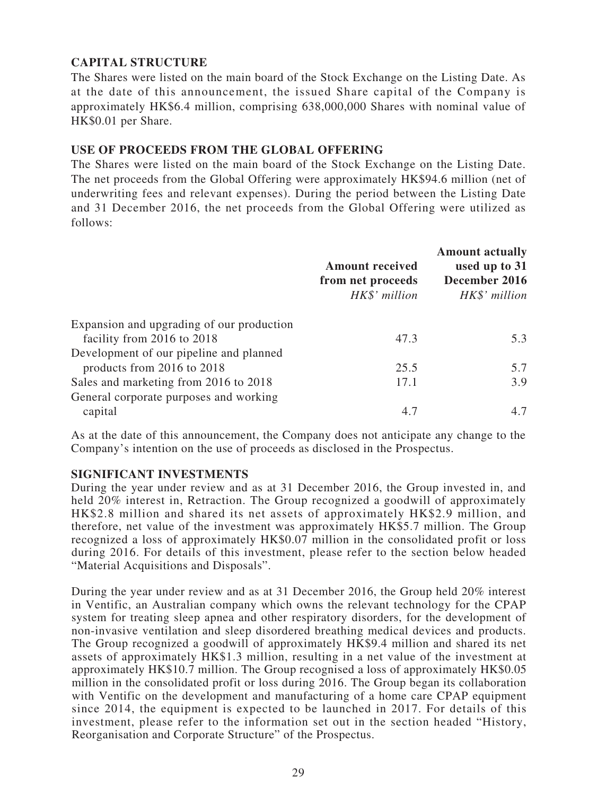### **CAPITAL STRUCTURE**

The Shares were listed on the main board of the Stock Exchange on the Listing Date. As at the date of this announcement, the issued Share capital of the Company is approximately HK\$6.4 million, comprising 638,000,000 Shares with nominal value of HK\$0.01 per Share.

### **USE OF PROCEEDS FROM THE GLOBAL OFFERING**

The Shares were listed on the main board of the Stock Exchange on the Listing Date. The net proceeds from the Global Offering were approximately HK\$94.6 million (net of underwriting fees and relevant expenses). During the period between the Listing Date and 31 December 2016, the net proceeds from the Global Offering were utilized as follows:

|                                           | <b>Amount received</b><br>from net proceeds<br>HK\$' million | <b>Amount actually</b><br>used up to 31<br>December 2016<br>HK\$' million |
|-------------------------------------------|--------------------------------------------------------------|---------------------------------------------------------------------------|
| Expansion and upgrading of our production |                                                              |                                                                           |
| facility from 2016 to 2018                | 47.3                                                         | 5.3                                                                       |
| Development of our pipeline and planned   |                                                              |                                                                           |
| products from 2016 to 2018                | 25.5                                                         | 5.7                                                                       |
| Sales and marketing from 2016 to 2018     | 17.1                                                         | 3.9                                                                       |
| General corporate purposes and working    |                                                              |                                                                           |
| capital                                   | 4.7                                                          | 4.7                                                                       |

As at the date of this announcement, the Company does not anticipate any change to the Company's intention on the use of proceeds as disclosed in the Prospectus.

#### **SIGNIFICANT INVESTMENTS**

During the year under review and as at 31 December 2016, the Group invested in, and held 20% interest in, Retraction. The Group recognized a goodwill of approximately HK\$2.8 million and shared its net assets of approximately HK\$2.9 million, and therefore, net value of the investment was approximately HK\$5.7 million. The Group recognized a loss of approximately HK\$0.07 million in the consolidated profit or loss during 2016. For details of this investment, please refer to the section below headed "Material Acquisitions and Disposals".

During the year under review and as at 31 December 2016, the Group held 20% interest in Ventific, an Australian company which owns the relevant technology for the CPAP system for treating sleep apnea and other respiratory disorders, for the development of non-invasive ventilation and sleep disordered breathing medical devices and products. The Group recognized a goodwill of approximately HK\$9.4 million and shared its net assets of approximately HK\$1.3 million, resulting in a net value of the investment at approximately HK\$10.7 million. The Group recognised a loss of approximately HK\$0.05 million in the consolidated profit or loss during 2016. The Group began its collaboration with Ventific on the development and manufacturing of a home care CPAP equipment since 2014, the equipment is expected to be launched in 2017. For details of this investment, please refer to the information set out in the section headed "History, Reorganisation and Corporate Structure" of the Prospectus.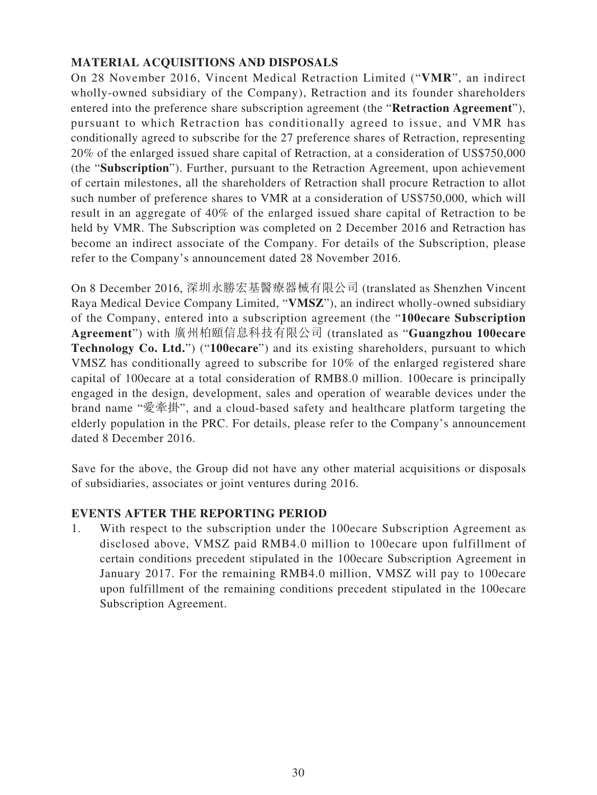## **MATERIAL ACQUISITIONS AND DISPOSALS**

On 28 November 2016, Vincent Medical Retraction Limited ("**VMR**", an indirect wholly-owned subsidiary of the Company), Retraction and its founder shareholders entered into the preference share subscription agreement (the "**Retraction Agreement**"), pursuant to which Retraction has conditionally agreed to issue, and VMR has conditionally agreed to subscribe for the 27 preference shares of Retraction, representing 20% of the enlarged issued share capital of Retraction, at a consideration of US\$750,000 (the "**Subscription**"). Further, pursuant to the Retraction Agreement, upon achievement of certain milestones, all the shareholders of Retraction shall procure Retraction to allot such number of preference shares to VMR at a consideration of US\$750,000, which will result in an aggregate of 40% of the enlarged issued share capital of Retraction to be held by VMR. The Subscription was completed on 2 December 2016 and Retraction has become an indirect associate of the Company. For details of the Subscription, please refer to the Company's announcement dated 28 November 2016.

On 8 December 2016, 深圳永勝宏基醫療器械有限公司 (translated as Shenzhen Vincent Raya Medical Device Company Limited, "**VMSZ**"), an indirect wholly-owned subsidiary of the Company, entered into a subscription agreement (the "**100ecare Subscription Agreement**") with 廣州柏頤信息科技有限公司 (translated as "**Guangzhou 100ecare Technology Co. Ltd.**") ("**100ecare**") and its existing shareholders, pursuant to which VMSZ has conditionally agreed to subscribe for 10% of the enlarged registered share capital of 100ecare at a total consideration of RMB8.0 million. 100ecare is principally engaged in the design, development, sales and operation of wearable devices under the brand name "愛牽掛", and a cloud-based safety and healthcare platform targeting the elderly population in the PRC. For details, please refer to the Company's announcement dated 8 December 2016.

Save for the above, the Group did not have any other material acquisitions or disposals of subsidiaries, associates or joint ventures during 2016.

### **EVENTS AFTER THE REPORTING PERIOD**

1. With respect to the subscription under the 100ecare Subscription Agreement as disclosed above, VMSZ paid RMB4.0 million to 100ecare upon fulfillment of certain conditions precedent stipulated in the 100ecare Subscription Agreement in January 2017. For the remaining RMB4.0 million, VMSZ will pay to 100ecare upon fulfillment of the remaining conditions precedent stipulated in the 100ecare Subscription Agreement.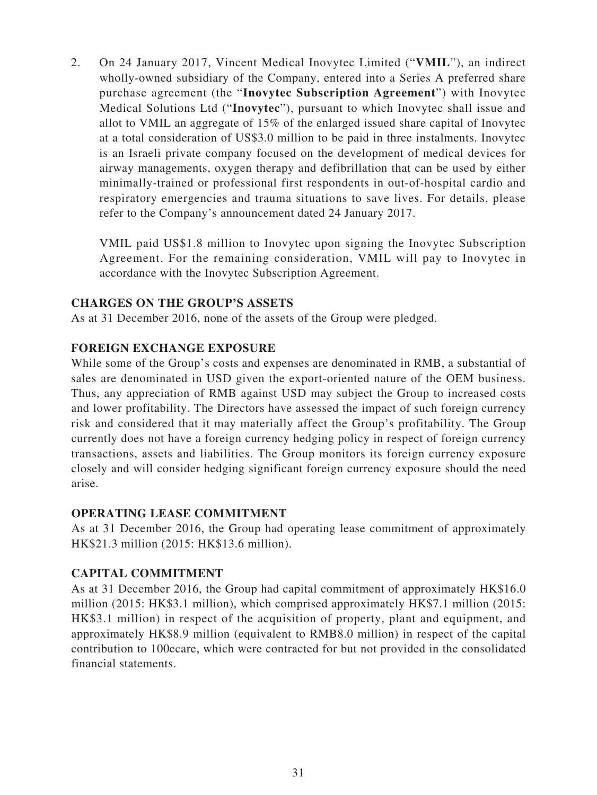2. On 24 January 2017, Vincent Medical Inovytec Limited ("VMIL"), an indirect wholly-owned subsidiary of the Company, entered into a Series A preferred share purchase agreement (the "**Inovytec Subscription Agreement**") with Inovytec Medical Solutions Ltd ("**Inovytec**"), pursuant to which Inovytec shall issue and allot to VMIL an aggregate of 15% of the enlarged issued share capital of Inovytec at a total consideration of US\$3.0 million to be paid in three instalments. Inovytec is an Israeli private company focused on the development of medical devices for airway managements, oxygen therapy and defibrillation that can be used by either minimally-trained or professional first respondents in out-of-hospital cardio and respiratory emergencies and trauma situations to save lives. For details, please refer to the Company's announcement dated 24 January 2017.

VMIL paid US\$1.8 million to Inovytec upon signing the Inovytec Subscription Agreement. For the remaining consideration, VMIL will pay to Inovytec in accordance with the Inovytec Subscription Agreement.

### **CHARGES ON THE GROUP'S ASSETS**

As at 31 December 2016, none of the assets of the Group were pledged.

### **FOREIGN EXCHANGE EXPOSURE**

While some of the Group's costs and expenses are denominated in RMB, a substantial of sales are denominated in USD given the export-oriented nature of the OEM business. Thus, any appreciation of RMB against USD may subject the Group to increased costs and lower profitability. The Directors have assessed the impact of such foreign currency risk and considered that it may materially affect the Group's profitability. The Group currently does not have a foreign currency hedging policy in respect of foreign currency transactions, assets and liabilities. The Group monitors its foreign currency exposure closely and will consider hedging significant foreign currency exposure should the need arise.

#### **OPERATING LEASE COMMITMENT**

As at 31 December 2016, the Group had operating lease commitment of approximately HK\$21.3 million (2015: HK\$13.6 million).

### **CAPITAL COMMITMENT**

As at 31 December 2016, the Group had capital commitment of approximately HK\$16.0 million (2015: HK\$3.1 million), which comprised approximately HK\$7.1 million (2015: HK\$3.1 million) in respect of the acquisition of property, plant and equipment, and approximately HK\$8.9 million (equivalent to RMB8.0 million) in respect of the capital contribution to 100ecare, which were contracted for but not provided in the consolidated financial statements.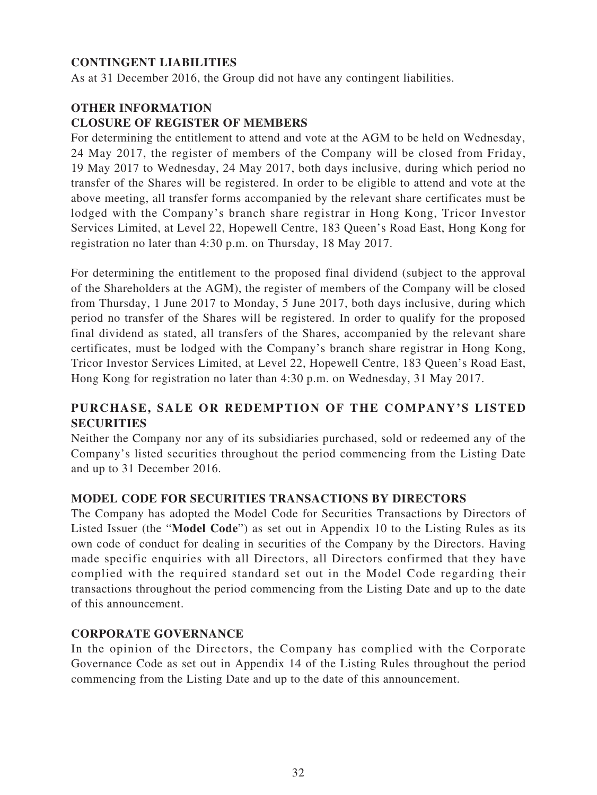### **CONTINGENT LIABILITIES**

As at 31 December 2016, the Group did not have any contingent liabilities.

### **OTHER INFORMATION CLOSURE OF REGISTER OF MEMBERS**

For determining the entitlement to attend and vote at the AGM to be held on Wednesday, 24 May 2017, the register of members of the Company will be closed from Friday, 19 May 2017 to Wednesday, 24 May 2017, both days inclusive, during which period no transfer of the Shares will be registered. In order to be eligible to attend and vote at the above meeting, all transfer forms accompanied by the relevant share certificates must be lodged with the Company's branch share registrar in Hong Kong, Tricor Investor Services Limited, at Level 22, Hopewell Centre, 183 Queen's Road East, Hong Kong for registration no later than 4:30 p.m. on Thursday, 18 May 2017.

For determining the entitlement to the proposed final dividend (subject to the approval of the Shareholders at the AGM), the register of members of the Company will be closed from Thursday, 1 June 2017 to Monday, 5 June 2017, both days inclusive, during which period no transfer of the Shares will be registered. In order to qualify for the proposed final dividend as stated, all transfers of the Shares, accompanied by the relevant share certificates, must be lodged with the Company's branch share registrar in Hong Kong, Tricor Investor Services Limited, at Level 22, Hopewell Centre, 183 Queen's Road East, Hong Kong for registration no later than 4:30 p.m. on Wednesday, 31 May 2017.

## **PURCHASE, SALE OR REDEMPTION OF THE COMPANY'S LISTED SECURITIES**

Neither the Company nor any of its subsidiaries purchased, sold or redeemed any of the Company's listed securities throughout the period commencing from the Listing Date and up to 31 December 2016.

#### **MODEL CODE FOR SECURITIES TRANSACTIONS BY DIRECTORS**

The Company has adopted the Model Code for Securities Transactions by Directors of Listed Issuer (the "**Model Code**") as set out in Appendix 10 to the Listing Rules as its own code of conduct for dealing in securities of the Company by the Directors. Having made specific enquiries with all Directors, all Directors confirmed that they have complied with the required standard set out in the Model Code regarding their transactions throughout the period commencing from the Listing Date and up to the date of this announcement.

#### **CORPORATE GOVERNANCE**

In the opinion of the Directors, the Company has complied with the Corporate Governance Code as set out in Appendix 14 of the Listing Rules throughout the period commencing from the Listing Date and up to the date of this announcement.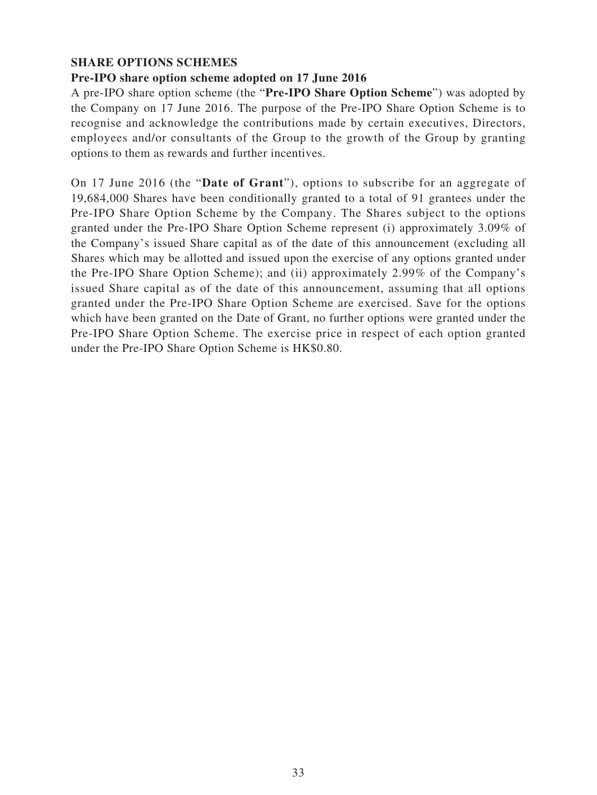### **SHARE OPTIONS SCHEMES**

#### **Pre-IPO share option scheme adopted on 17 June 2016**

A pre-IPO share option scheme (the "**Pre-IPO Share Option Scheme**") was adopted by the Company on 17 June 2016. The purpose of the Pre-IPO Share Option Scheme is to recognise and acknowledge the contributions made by certain executives, Directors, employees and/or consultants of the Group to the growth of the Group by granting options to them as rewards and further incentives.

On 17 June 2016 (the "**Date of Grant**"), options to subscribe for an aggregate of 19,684,000 Shares have been conditionally granted to a total of 91 grantees under the Pre-IPO Share Option Scheme by the Company. The Shares subject to the options granted under the Pre-IPO Share Option Scheme represent (i) approximately 3.09% of the Company's issued Share capital as of the date of this announcement (excluding all Shares which may be allotted and issued upon the exercise of any options granted under the Pre-IPO Share Option Scheme); and (ii) approximately 2.99% of the Company's issued Share capital as of the date of this announcement, assuming that all options granted under the Pre-IPO Share Option Scheme are exercised. Save for the options which have been granted on the Date of Grant, no further options were granted under the Pre-IPO Share Option Scheme. The exercise price in respect of each option granted under the Pre-IPO Share Option Scheme is HK\$0.80.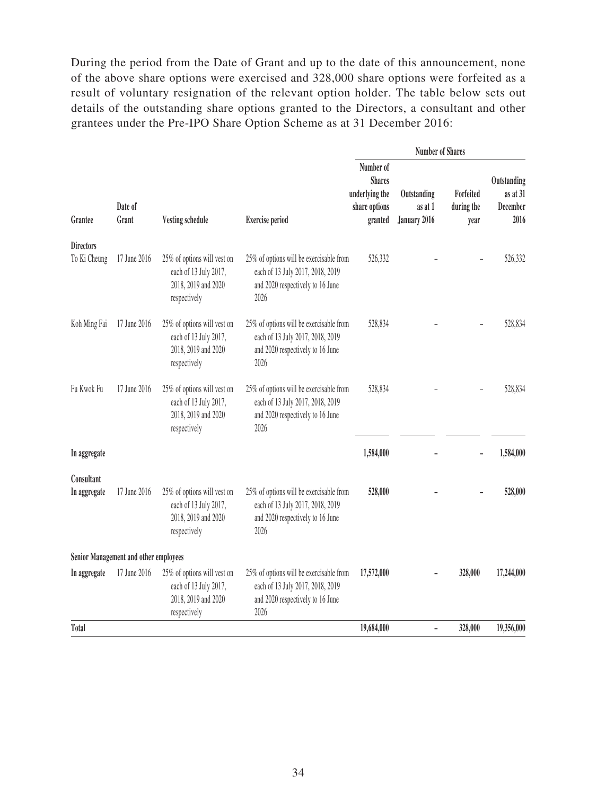During the period from the Date of Grant and up to the date of this announcement, none of the above share options were exercised and 328,000 share options were forfeited as a result of voluntary resignation of the relevant option holder. The table below sets out details of the outstanding share options granted to the Directors, a consultant and other grantees under the Pre-IPO Share Option Scheme as at 31 December 2016:

|                                                 |                                       |                                                                                             |                                                                                                                         | <b>Number of Shares</b>         |                                             |         |            |
|-------------------------------------------------|---------------------------------------|---------------------------------------------------------------------------------------------|-------------------------------------------------------------------------------------------------------------------------|---------------------------------|---------------------------------------------|---------|------------|
| Date of<br>Grantee<br>Grant<br>Vesting schedule | <b>Exercise period</b>                | Number of<br><b>Shares</b><br>underlying the<br>share options<br>granted                    | Outstanding<br>as at 1<br>January 2016                                                                                  | Forfeited<br>during the<br>year | Outstanding<br>as at 31<br>December<br>2016 |         |            |
| <b>Directors</b><br>To Ki Cheung                | 17 June 2016                          | 25% of options will vest on<br>each of 13 July 2017,<br>2018, 2019 and 2020<br>respectively | 25% of options will be exercisable from<br>each of 13 July 2017, 2018, 2019<br>and 2020 respectively to 16 June<br>2026 | 526,332                         |                                             |         | 526,332    |
| Koh Ming Fai                                    | 17 June 2016                          | 25% of options will vest on<br>each of 13 July 2017,<br>2018, 2019 and 2020<br>respectively | 25% of options will be exercisable from<br>each of 13 July 2017, 2018, 2019<br>and 2020 respectively to 16 June<br>2026 | 528,834                         |                                             |         | 528,834    |
| Fu Kwok Fu                                      | 17 June 2016                          | 25% of options will vest on<br>each of 13 July 2017,<br>2018, 2019 and 2020<br>respectively | 25% of options will be exercisable from<br>each of 13 July 2017, 2018, 2019<br>and 2020 respectively to 16 June<br>2026 | 528,834                         |                                             |         | 528,834    |
| In aggregate                                    |                                       |                                                                                             |                                                                                                                         | 1,584,000                       |                                             |         | 1,584,000  |
| Consultant<br>In aggregate                      | 17 June 2016                          | 25% of options will vest on<br>each of 13 July 2017,<br>2018, 2019 and 2020<br>respectively | 25% of options will be exercisable from<br>each of 13 July 2017, 2018, 2019<br>and 2020 respectively to 16 June<br>2026 | 528,000                         |                                             |         | 528,000    |
|                                                 | Senior Management and other employees |                                                                                             |                                                                                                                         |                                 |                                             |         |            |
| In aggregate                                    | 17 June 2016                          | 25% of options will vest on<br>each of 13 July 2017,<br>2018, 2019 and 2020<br>respectively | 25% of options will be exercisable from<br>each of 13 July 2017, 2018, 2019<br>and 2020 respectively to 16 June<br>2026 | 17,572,000                      |                                             | 328,000 | 17,244,000 |
| <b>Total</b>                                    |                                       |                                                                                             |                                                                                                                         | 19,684,000                      | ÷,                                          | 328,000 | 19,356,000 |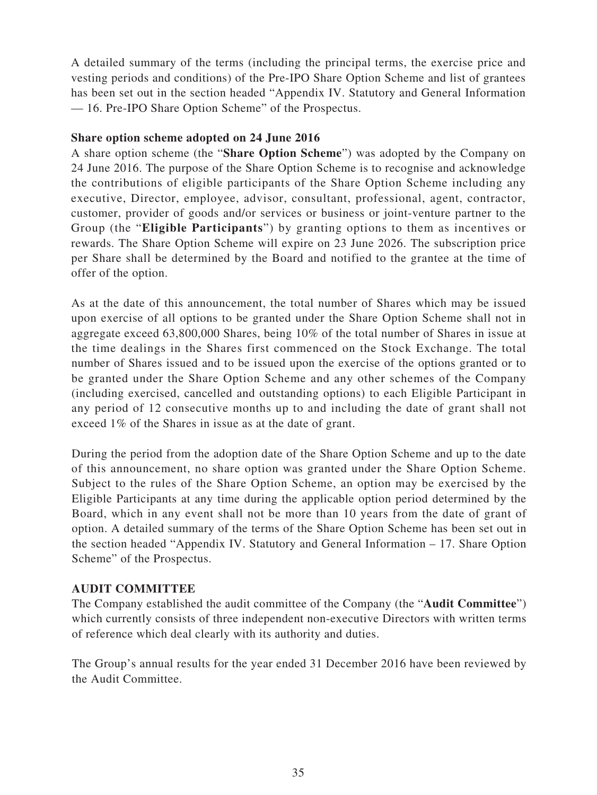A detailed summary of the terms (including the principal terms, the exercise price and vesting periods and conditions) of the Pre-IPO Share Option Scheme and list of grantees has been set out in the section headed "Appendix IV. Statutory and General Information — 16. Pre-IPO Share Option Scheme" of the Prospectus.

#### **Share option scheme adopted on 24 June 2016**

A share option scheme (the "**Share Option Scheme**") was adopted by the Company on 24 June 2016. The purpose of the Share Option Scheme is to recognise and acknowledge the contributions of eligible participants of the Share Option Scheme including any executive, Director, employee, advisor, consultant, professional, agent, contractor, customer, provider of goods and/or services or business or joint-venture partner to the Group (the "**Eligible Participants**") by granting options to them as incentives or rewards. The Share Option Scheme will expire on 23 June 2026. The subscription price per Share shall be determined by the Board and notified to the grantee at the time of offer of the option.

As at the date of this announcement, the total number of Shares which may be issued upon exercise of all options to be granted under the Share Option Scheme shall not in aggregate exceed 63,800,000 Shares, being 10% of the total number of Shares in issue at the time dealings in the Shares first commenced on the Stock Exchange. The total number of Shares issued and to be issued upon the exercise of the options granted or to be granted under the Share Option Scheme and any other schemes of the Company (including exercised, cancelled and outstanding options) to each Eligible Participant in any period of 12 consecutive months up to and including the date of grant shall not exceed 1% of the Shares in issue as at the date of grant.

During the period from the adoption date of the Share Option Scheme and up to the date of this announcement, no share option was granted under the Share Option Scheme. Subject to the rules of the Share Option Scheme, an option may be exercised by the Eligible Participants at any time during the applicable option period determined by the Board, which in any event shall not be more than 10 years from the date of grant of option. A detailed summary of the terms of the Share Option Scheme has been set out in the section headed "Appendix IV. Statutory and General Information – 17. Share Option Scheme" of the Prospectus.

#### **AUDIT COMMITTEE**

The Company established the audit committee of the Company (the "**Audit Committee**") which currently consists of three independent non-executive Directors with written terms of reference which deal clearly with its authority and duties.

The Group's annual results for the year ended 31 December 2016 have been reviewed by the Audit Committee.